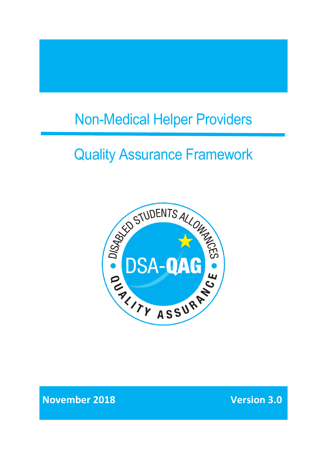# Non-Medical Helper Providers

# Quality Assurance Framework



**November 2018 Version 3.0**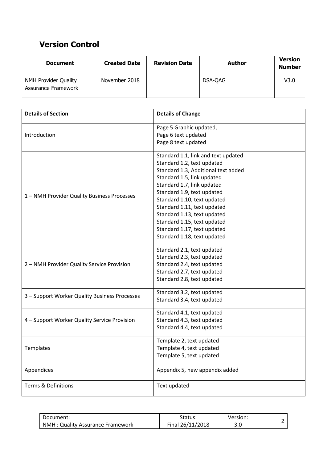# **Version Control**

| <b>Document</b>                             | <b>Created Date</b> | <b>Revision Date</b> | Author  | <b>Version</b><br><b>Number</b> |
|---------------------------------------------|---------------------|----------------------|---------|---------------------------------|
| NMH Provider Quality<br>Assurance Framework | November 2018       |                      | DSA-QAG | V3.0                            |

| <b>Details of Section</b>                     | <b>Details of Change</b>            |
|-----------------------------------------------|-------------------------------------|
|                                               | Page 5 Graphic updated,             |
| Introduction                                  | Page 6 text updated                 |
|                                               | Page 8 text updated                 |
|                                               | Standard 1.1, link and text updated |
|                                               | Standard 1.2, text updated          |
|                                               | Standard 1.3, Additional text added |
|                                               | Standard 1.5, link updated          |
|                                               | Standard 1.7, link updated          |
| 1 - NMH Provider Quality Business Processes   | Standard 1.9, text updated          |
|                                               | Standard 1.10, text updated         |
|                                               | Standard 1.11, text updated         |
|                                               | Standard 1.13, text updated         |
|                                               | Standard 1.15, text updated         |
|                                               | Standard 1.17, text updated         |
|                                               | Standard 1.18, text updated         |
|                                               | Standard 2.1, text updated          |
|                                               | Standard 2.3, text updated          |
| 2 - NMH Provider Quality Service Provision    | Standard 2.4, text updated          |
|                                               | Standard 2.7, text updated          |
|                                               | Standard 2.8, text updated          |
| 3 - Support Worker Quality Business Processes | Standard 3.2, text updated          |
|                                               | Standard 3.4, text updated          |
|                                               | Standard 4.1, text updated          |
| 4 - Support Worker Quality Service Provision  | Standard 4.3, text updated          |
|                                               | Standard 4.4, text updated          |
|                                               | Template 2, text updated            |
| Templates                                     | Template 4, text updated            |
|                                               | Template 5, text updated            |
| Appendices                                    | Appendix 5, new appendix added      |
| <b>Terms &amp; Definitions</b>                | Text updated                        |

| Document:                               | Status:          | Version: |  |
|-----------------------------------------|------------------|----------|--|
| <b>NMH: Quality Assurance Framework</b> | Final 26/11/2018 | 3.0      |  |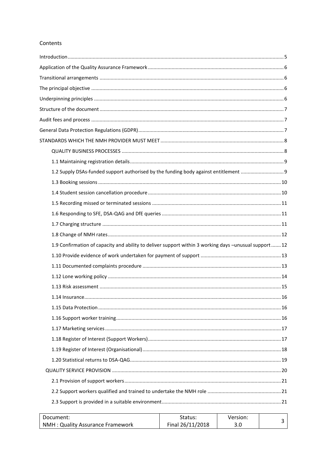#### Contents

| 1.2 Supply DSAs-funded support authorised by the funding body against entitlement                      |  |
|--------------------------------------------------------------------------------------------------------|--|
|                                                                                                        |  |
|                                                                                                        |  |
|                                                                                                        |  |
|                                                                                                        |  |
|                                                                                                        |  |
|                                                                                                        |  |
| 1.9 Confirmation of capacity and ability to deliver support within 3 working days -unusual support  12 |  |
|                                                                                                        |  |
|                                                                                                        |  |
|                                                                                                        |  |
|                                                                                                        |  |
| . 16<br>1.14 Insurance                                                                                 |  |
|                                                                                                        |  |
|                                                                                                        |  |
|                                                                                                        |  |
|                                                                                                        |  |
|                                                                                                        |  |
|                                                                                                        |  |
|                                                                                                        |  |
|                                                                                                        |  |
|                                                                                                        |  |
|                                                                                                        |  |
|                                                                                                        |  |

| Document:                        | Status:          | Version: |  |
|----------------------------------|------------------|----------|--|
| NMH: Quality Assurance Framework | Final 26/11/2018 | J.U      |  |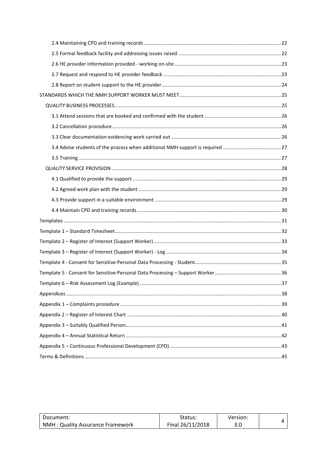| 37 |
|----|
|    |
|    |
|    |
|    |
|    |
|    |

<span id="page-3-0"></span>

| Document:                        | Status:          | Version: |  |
|----------------------------------|------------------|----------|--|
| NMH: Quality Assurance Framework | Final 26/11/2018 | J.U      |  |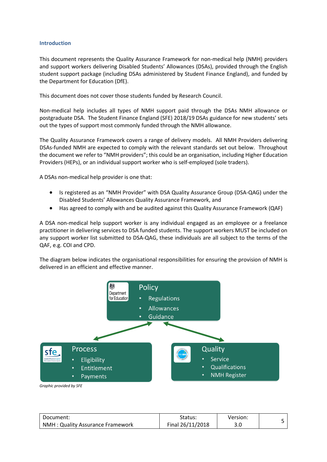#### **Introduction**

This document represents the Quality Assurance Framework for non-medical help (NMH) providers and support workers delivering Disabled Students' Allowances (DSAs), provided through the English student support package (including DSAs administered by Student Finance England), and funded by the Department for Education (DfE).

This document does not cover those students funded by Research Council.

Non-medical help includes all types of NMH support paid through the DSAs NMH allowance or postgraduate DSA. The Student Finance England (SFE) 2018/19 DSAs guidance for new students' sets out the types of support most commonly funded through the NMH allowance.

The Quality Assurance Framework covers a range of delivery models. All NMH Providers delivering DSAs-funded NMH are expected to comply with the relevant standards set out below. Throughout the document we refer to "NMH providers"; this could be an organisation, including Higher Education Providers (HEPs), or an individual support worker who is self-employed (sole traders).

A DSAs non-medical help provider is one that:

- Is registered as an "NMH Provider" with DSA Quality Assurance Group (DSA-QAG) under the Disabled Students' Allowances Quality Assurance Framework, and
- Has agreed to comply with and be audited against this Quality Assurance Framework (QAF)

A DSA non-medical help support worker is any individual engaged as an employee or a freelance practitioner in delivering services to DSA funded students. The support workers MUST be included on any support worker list submitted to DSA-QAG, these individuals are all subject to the terms of the QAF, e.g. COI and CPD.

The diagram below indicates the organisational responsibilities for ensuring the provision of NMH is delivered in an efficient and effective manner.



*Graphic provided by SFE*

| Document:                        | Status:          | Version: |  |
|----------------------------------|------------------|----------|--|
| NMH: Quality Assurance Framework | Final 26/11/2018 | 3.0      |  |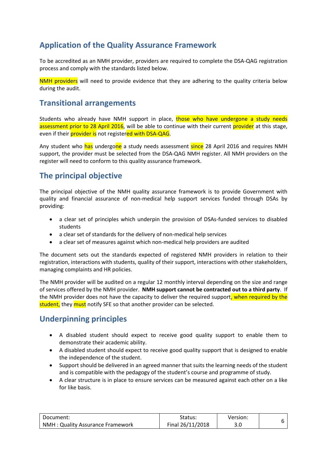# <span id="page-5-0"></span>**Application of the Quality Assurance Framework**

To be accredited as an NMH provider, providers are required to complete the DSA-QAG registration process and comply with the standards listed below.

NMH providers will need to provide evidence that they are adhering to the quality criteria below during the audit.

## <span id="page-5-1"></span>**Transitional arrangements**

Students who already have NMH support in place, those who have undergone a study needs assessment prior to 28 April 2016, will be able to continue with their current provider at this stage, even if their *provider is* not registered with DSA-QAG.

Any student who has undergone a study needs assessment since 28 April 2016 and requires NMH support, the provider must be selected from the DSA-QAG NMH register. All NMH providers on the register will need to conform to this quality assurance framework.

# <span id="page-5-2"></span>**The principal objective**

The principal objective of the NMH quality assurance framework is to provide Government with quality and financial assurance of non-medical help support services funded through DSAs by providing:

- a clear set of principles which underpin the provision of DSAs-funded services to disabled students
- a clear set of standards for the delivery of non-medical help services
- a clear set of measures against which non-medical help providers are audited

The document sets out the standards expected of registered NMH providers in relation to their registration, interactions with students, quality of their support, interactions with other stakeholders, managing complaints and HR policies.

The NMH provider will be audited on a regular 12 monthly interval depending on the size and range of services offered by the NMH provider. **NMH support cannot be contracted out to a third party**. If the NMH provider does not have the capacity to deliver the required support, when required by the student, they must notify SFE so that another provider can be selected.

# <span id="page-5-3"></span>**Underpinning principles**

- A disabled student should expect to receive good quality support to enable them to demonstrate their academic ability.
- A disabled student should expect to receive good quality support that is designed to enable the independence of the student.
- Support should be delivered in an agreed manner that suits the learning needs of the student and is compatible with the pedagogy of the student's course and programme of study.
- A clear structure is in place to ensure services can be measured against each other on a like for like basis.

| Document:                               | Status:          | Version: |  |
|-----------------------------------------|------------------|----------|--|
| <b>NMH: Quality Assurance Framework</b> | Final 26/11/2018 | J.U      |  |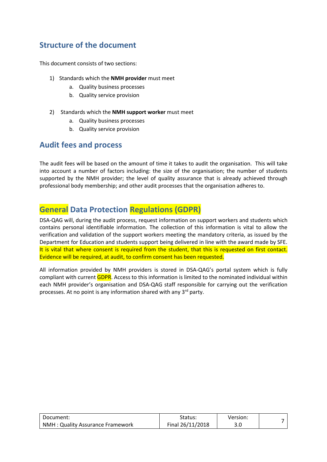# <span id="page-6-0"></span>**Structure of the document**

This document consists of two sections:

- 1) Standards which the **NMH provider** must meet
	- a. Quality business processes
	- b. Quality service provision
- 2) Standards which the **NMH support worker** must meet
	- a. Quality business processes
	- b. Quality service provision

## <span id="page-6-1"></span>**Audit fees and process**

The audit fees will be based on the amount of time it takes to audit the organisation. This will take into account a number of factors including: the size of the organisation; the number of students supported by the NMH provider; the level of quality assurance that is already achieved through professional body membership; and other audit processes that the organisation adheres to.

# <span id="page-6-2"></span>**General Data Protection Regulations (GDPR)**

DSA-QAG will, during the audit process, request information on support workers and students which contains personal identifiable information. The collection of this information is vital to allow the verification and validation of the support workers meeting the mandatory criteria, as issued by the Department for Education and students support being delivered in line with the award made by SFE. It is vital that where consent is required from the student, that this is requested on first contact. Evidence will be required, at audit, to confirm consent has been requested.

All information provided by NMH providers is stored in DSA-QAG's portal system which is fully compliant with current GDPR. Access to this information is limited to the nominated individual within each NMH provider's organisation and DSA-QAG staff responsible for carrying out the verification processes. At no point is any information shared with any 3rd party.

| Document:                        | Status:          | Version: |  |
|----------------------------------|------------------|----------|--|
| NMH: Quality Assurance Framework | Final 26/11/2018 | 3.0      |  |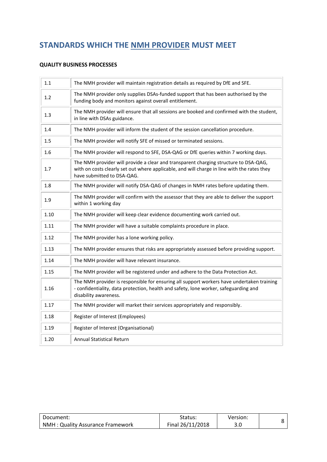# <span id="page-7-0"></span>**STANDARDS WHICH THE NMH PROVIDER MUST MEET**

#### <span id="page-7-1"></span>**QUALITY BUSINESS PROCESSES**

| 1.1  | The NMH provider will maintain registration details as required by DfE and SFE.                                                                                                                                   |
|------|-------------------------------------------------------------------------------------------------------------------------------------------------------------------------------------------------------------------|
| 1.2  | The NMH provider only supplies DSAs-funded support that has been authorised by the<br>funding body and monitors against overall entitlement.                                                                      |
| 1.3  | The NMH provider will ensure that all sessions are booked and confirmed with the student,<br>in line with DSAs guidance.                                                                                          |
| 1.4  | The NMH provider will inform the student of the session cancellation procedure.                                                                                                                                   |
| 1.5  | The NMH provider will notify SFE of missed or terminated sessions.                                                                                                                                                |
| 1.6  | The NMH provider will respond to SFE, DSA-QAG or DfE queries within 7 working days.                                                                                                                               |
| 1.7  | The NMH provider will provide a clear and transparent charging structure to DSA-QAG,<br>with on costs clearly set out where applicable, and will charge in line with the rates they<br>have submitted to DSA-QAG. |
| 1.8  | The NMH provider will notify DSA-QAG of changes in NMH rates before updating them.                                                                                                                                |
| 1.9  | The NMH provider will confirm with the assessor that they are able to deliver the support<br>within 1 working day                                                                                                 |
| 1.10 | The NMH provider will keep clear evidence documenting work carried out.                                                                                                                                           |
| 1.11 | The NMH provider will have a suitable complaints procedure in place.                                                                                                                                              |
| 1.12 | The NMH provider has a lone working policy.                                                                                                                                                                       |
| 1.13 | The NMH provider ensures that risks are appropriately assessed before providing support.                                                                                                                          |
| 1.14 | The NMH provider will have relevant insurance.                                                                                                                                                                    |
| 1.15 | The NMH provider will be registered under and adhere to the Data Protection Act.                                                                                                                                  |
| 1.16 | The NMH provider is responsible for ensuring all support workers have undertaken training<br>- confidentiality, data protection, health and safety, lone worker, safeguarding and<br>disability awareness.        |
| 1.17 | The NMH provider will market their services appropriately and responsibly.                                                                                                                                        |
| 1.18 | Register of Interest (Employees)                                                                                                                                                                                  |
| 1.19 | Register of Interest (Organisational)                                                                                                                                                                             |
| 1.20 | <b>Annual Statistical Return</b>                                                                                                                                                                                  |

| Document:                        | Status:          | Version: |  |
|----------------------------------|------------------|----------|--|
| NMH: Quality Assurance Framework | Final 26/11/2018 | J.U      |  |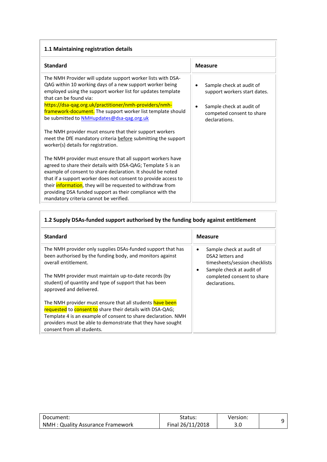<span id="page-8-0"></span>

|  |  | 1.1 Maintaining registration details |  |
|--|--|--------------------------------------|--|
|--|--|--------------------------------------|--|

| <b>Standard</b>                                                                                                                                                                                                                                             | <b>Measure</b>                                                         |
|-------------------------------------------------------------------------------------------------------------------------------------------------------------------------------------------------------------------------------------------------------------|------------------------------------------------------------------------|
| The NMH Provider will update support worker lists with DSA-<br>QAG within 10 working days of a new support worker being<br>employed using the support worker list for updates template<br>that can be found via:                                            | Sample check at audit of<br>٠<br>support workers start dates.          |
| https://dsa-qag.org.uk/practitioner/nmh-providers/nmh-<br>framework-document. The support worker list template should<br>be submitted to <b>NMHupdates@dsa-gag.org.uk</b>                                                                                   | Sample check at audit of<br>competed consent to share<br>declarations. |
| The NMH provider must ensure that their support workers<br>meet the DfE mandatory criteria before submitting the support<br>worker(s) details for registration.                                                                                             |                                                                        |
| The NMH provider must ensure that all support workers have<br>agreed to share their details with DSA-QAG; Template 5 is an<br>example of consent to share declaration. It should be noted<br>that if a support worker does not consent to provide access to |                                                                        |
| their <i>information</i> , they will be requested to withdraw from<br>providing DSA funded support as their compliance with the<br>mandatory criteria cannot be verified.                                                                                   |                                                                        |

<span id="page-8-1"></span>

| 1.2 Supply DSAs-funded support authorised by the funding body against entitlement                                                                |                                                                                                                             |  |
|--------------------------------------------------------------------------------------------------------------------------------------------------|-----------------------------------------------------------------------------------------------------------------------------|--|
| <b>Standard</b>                                                                                                                                  | <b>Measure</b>                                                                                                              |  |
| The NMH provider only supplies DSAs-funded support that has<br>been authorised by the funding body, and monitors against<br>overall entitlement. | Sample check at audit of<br>$\bullet$<br>DSA2 letters and<br>timesheets/session checklists<br>Sample check at audit of<br>٠ |  |
| The NMH provider must maintain up-to-date records (by<br>student) of quantity and type of support that has been<br>approved and delivered.       | completed consent to share<br>declarations.                                                                                 |  |
| The NMH provider must ensure that all students have been                                                                                         |                                                                                                                             |  |
| requested to consent to share their details with DSA-QAG;                                                                                        |                                                                                                                             |  |
| Template 4 is an example of consent to share declaration. NMH<br>providers must be able to demonstrate that they have sought                     |                                                                                                                             |  |
| consent from all students.                                                                                                                       |                                                                                                                             |  |

| Document:                        | Status:          | Version: |  |
|----------------------------------|------------------|----------|--|
| NMH: Quality Assurance Framework | Final 26/11/2018 | J.U      |  |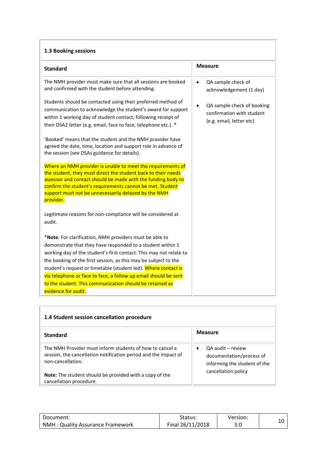<span id="page-9-0"></span>

| 1.3 Booking sessions                                                                                                                                                                                                                                                                                                                                                                                                                                                                                                                                                                                                                                                                                                                                                                                                                                                                                                                                                                                                                                                                                                                                                                                                                                                                                                                                                                  |                                                                                                                                      |  |
|---------------------------------------------------------------------------------------------------------------------------------------------------------------------------------------------------------------------------------------------------------------------------------------------------------------------------------------------------------------------------------------------------------------------------------------------------------------------------------------------------------------------------------------------------------------------------------------------------------------------------------------------------------------------------------------------------------------------------------------------------------------------------------------------------------------------------------------------------------------------------------------------------------------------------------------------------------------------------------------------------------------------------------------------------------------------------------------------------------------------------------------------------------------------------------------------------------------------------------------------------------------------------------------------------------------------------------------------------------------------------------------|--------------------------------------------------------------------------------------------------------------------------------------|--|
| <b>Standard</b>                                                                                                                                                                                                                                                                                                                                                                                                                                                                                                                                                                                                                                                                                                                                                                                                                                                                                                                                                                                                                                                                                                                                                                                                                                                                                                                                                                       | <b>Measure</b>                                                                                                                       |  |
| The NMH provider must make sure that all sessions are booked<br>and confirmed with the student before attending.<br>Students should be contacted using their preferred method of<br>communication to acknowledge the student's award for support<br>within 1 working day of student contact, following receipt of<br>their DSA2 letter (e.g. email, face to face, telephone etc.). *<br>'Booked' means that the student and the NMH provider have<br>agreed the date, time, location and support role in advance of<br>the session (see DSAs guidance for details).<br>Where an NMH provider is unable to meet the requirements of<br>the student, they must direct the student back to their needs<br>assessor and contact should be made with the funding body to<br>confirm the student's requirements cannot be met. Student<br>support must not be unnecessarily delayed by the NMH<br>provider.<br>Legitimate reasons for non-compliance will be considered at<br>audit.<br>*Note: For clarification, NMH providers must be able to<br>demonstrate that they have responded to a student within 1<br>working day of the student's first contact. This may not relate to<br>the booking of the first session, as this may be subject to the<br>student's request or timetable (student led). Where contact is<br>via telephone or face to face, a follow up email should be sent | QA sample check of<br>acknowledgement (1 day)<br>QA sample check of booking<br>confirmation with student<br>(e.g. email, letter etc) |  |
| to the student. This communication should be retained as<br>evidence for audit.                                                                                                                                                                                                                                                                                                                                                                                                                                                                                                                                                                                                                                                                                                                                                                                                                                                                                                                                                                                                                                                                                                                                                                                                                                                                                                       |                                                                                                                                      |  |

<span id="page-9-1"></span>

| 1.4 Student session cancellation procedure                                                                                                       |                                                                                            |  |
|--------------------------------------------------------------------------------------------------------------------------------------------------|--------------------------------------------------------------------------------------------|--|
| <b>Standard</b>                                                                                                                                  | <b>Measure</b>                                                                             |  |
| The NMH Provider must inform students of how to cancel a<br>session, the cancellation notification period and the impact of<br>non-cancellation. | QA audit - review<br>$\bullet$<br>documentation/process of<br>informing the student of the |  |
| <b>Note:</b> The student should be provided with a copy of the<br>cancellation procedure.                                                        | cancellation policy                                                                        |  |

| Document:                         | Status:          | Version: |  |
|-----------------------------------|------------------|----------|--|
| NMH : Quality Assurance Framework | Final 26/11/2018 | J.U      |  |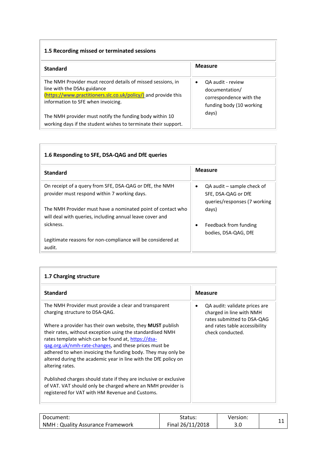#### <span id="page-10-0"></span>**1.5 Recording missed or terminated sessions**

| <b>Standard</b>                                                                                                                                                                                    | <b>Measure</b>                                                                                          |
|----------------------------------------------------------------------------------------------------------------------------------------------------------------------------------------------------|---------------------------------------------------------------------------------------------------------|
| The NMH Provider must record details of missed sessions, in<br>line with the DSAs guidance<br>(https://www.practitioners.slc.co.uk/policy/) and provide this<br>information to SFE when invoicing. | QA audit - review<br>$\bullet$<br>documentation/<br>correspondence with the<br>funding body (10 working |
| The NMH provider must notify the funding body within 10<br>working days if the student wishes to terminate their support.                                                                          | days)                                                                                                   |

<span id="page-10-1"></span>

| 1.6 Responding to SFE, DSA-QAG and DfE queries                                                                          |                                                                                                |  |
|-------------------------------------------------------------------------------------------------------------------------|------------------------------------------------------------------------------------------------|--|
| <b>Standard</b>                                                                                                         | <b>Measure</b>                                                                                 |  |
| On receipt of a query from SFE, DSA-QAG or DfE, the NMH<br>provider must respond within 7 working days.                 | QA audit – sample check of<br>$\bullet$<br>SFE, DSA-QAG or DfE<br>queries/responses (7 working |  |
| The NMH Provider must have a nominated point of contact who<br>will deal with queries, including annual leave cover and | days)                                                                                          |  |
| sickness.                                                                                                               | Feedback from funding<br>٠<br>bodies, DSA-QAG, DfE                                             |  |
| Legitimate reasons for non-compliance will be considered at<br>audit.                                                   |                                                                                                |  |

<span id="page-10-2"></span>

| 1.7 Charging structure                                                                                                                                                                                                                                                                                                                                                                                  |                                                                                                                                              |  |
|---------------------------------------------------------------------------------------------------------------------------------------------------------------------------------------------------------------------------------------------------------------------------------------------------------------------------------------------------------------------------------------------------------|----------------------------------------------------------------------------------------------------------------------------------------------|--|
| <b>Standard</b>                                                                                                                                                                                                                                                                                                                                                                                         | <b>Measure</b>                                                                                                                               |  |
| The NMH Provider must provide a clear and transparent<br>charging structure to DSA-QAG.<br>Where a provider has their own website, they <b>MUST</b> publish<br>their rates, without exception using the standardised NMH<br>rates template which can be found at, https://dsa-<br>gag.org.uk/nmh-rate-changes, and these prices must be<br>adhered to when invoicing the funding body. They may only be | QA audit: validate prices are<br>charged in line with NMH<br>rates submitted to DSA-QAG<br>and rates table accessibility<br>check conducted. |  |
| altered during the academic year in line with the DfE policy on<br>altering rates.<br>Published charges should state if they are inclusive or exclusive                                                                                                                                                                                                                                                 |                                                                                                                                              |  |
| of VAT. VAT should only be charged where an NMH provider is<br>registered for VAT with HM Revenue and Customs.                                                                                                                                                                                                                                                                                          |                                                                                                                                              |  |

| Document:                        | Status:          | Version: |  |
|----------------------------------|------------------|----------|--|
| NMH: Quality Assurance Framework | Final 26/11/2018 | J.U      |  |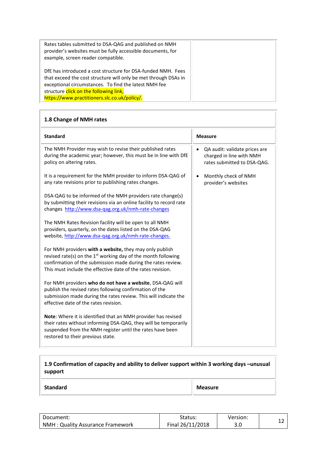| Rates tables submitted to DSA-QAG and published on NMH<br>provider's websites must be fully accessible documents, for<br>example, screen reader compatible. |  |
|-------------------------------------------------------------------------------------------------------------------------------------------------------------|--|
| DfE has introduced a cost structure for DSA-funded NMH. Fees<br>that exceed the cost structure will only be met through DSAs in                             |  |
| exceptional circumstances. To find the latest NMH fee                                                                                                       |  |
| structure click on the following link,                                                                                                                      |  |
| https://www.practitioners.slc.co.uk/policy/.                                                                                                                |  |

<span id="page-11-0"></span>

| 1.8 Change of NMH rates                                                                                                                                                                                                                                             |                                                                                          |  |
|---------------------------------------------------------------------------------------------------------------------------------------------------------------------------------------------------------------------------------------------------------------------|------------------------------------------------------------------------------------------|--|
| <b>Standard</b>                                                                                                                                                                                                                                                     | <b>Measure</b>                                                                           |  |
| The NMH Provider may wish to revise their published rates<br>during the academic year; however, this must be in line with DfE<br>policy on altering rates.                                                                                                          | QA audit: validate prices are<br>charged in line with NMH<br>rates submitted to DSA-QAG. |  |
| It is a requirement for the NMH provider to inform DSA-QAG of<br>any rate revisions prior to publishing rates changes.                                                                                                                                              | Monthly check of NMH<br>provider's websites                                              |  |
| DSA-QAG to be informed of the NMH providers rate change(s)<br>by submitting their revisions via an online facility to record rate<br>changes http://www.dsa-qag.org.uk/nmh-rate-changes                                                                             |                                                                                          |  |
| The NMH Rates Revision facility will be open to all NMH<br>providers, quarterly, on the dates listed on the DSA-QAG<br>website, http://www.dsa-qag.org.uk/nmh-rate-changes.                                                                                         |                                                                                          |  |
| For NMH providers with a website, they may only publish<br>revised rate(s) on the 1 <sup>st</sup> working day of the month following<br>confirmation of the submission made during the rates review.<br>This must include the effective date of the rates revision. |                                                                                          |  |
| For NMH providers who do not have a website, DSA-QAG will<br>publish the revised rates following confirmation of the<br>submission made during the rates review. This will indicate the<br>effective date of the rates revision.                                    |                                                                                          |  |
| <b>Note:</b> Where it is identified that an NMH provider has revised<br>their rates without informing DSA-QAG, they will be temporarily<br>suspended from the NMH register until the rates have been<br>restored to their previous state.                           |                                                                                          |  |

## <span id="page-11-1"></span>**1.9 Confirmation of capacity and ability to deliver support within 3 working days –unusual support**

**Standard Measure** 

| Document:                        | Status:          | Version: |  |
|----------------------------------|------------------|----------|--|
| NMH: Quality Assurance Framework | Final 26/11/2018 | 3.0      |  |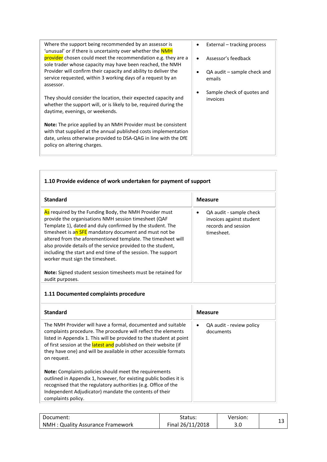| Where the support being recommended by an assessor is<br>'unusual' or if there is uncertainty over whether the NMH                                                                                                                        | External – tracking process               |
|-------------------------------------------------------------------------------------------------------------------------------------------------------------------------------------------------------------------------------------------|-------------------------------------------|
| provider chosen could meet the recommendation e.g. they are a<br>sole trader whose capacity may have been reached, the NMH                                                                                                                | Assessor's feedback                       |
| Provider will confirm their capacity and ability to deliver the<br>service requested, within 3 working days of a request by an<br>assessor.                                                                                               | $QA$ audit $-$ sample check and<br>emails |
| They should consider the location, their expected capacity and<br>whether the support will, or is likely to be, required during the<br>daytime, evenings, or weekends.                                                                    | Sample check of quotes and<br>invoices    |
| <b>Note:</b> The price applied by an NMH Provider must be consistent<br>with that supplied at the annual published costs implementation<br>date, unless otherwise provided to DSA-QAG in line with the DfE<br>policy on altering charges. |                                           |
|                                                                                                                                                                                                                                           |                                           |

<span id="page-12-1"></span><span id="page-12-0"></span>Г

| 1.10 Provide evidence of work undertaken for payment of support                                                                                                                                                                                                                                                                                                                                                                                                          |                                                                                                       |  |
|--------------------------------------------------------------------------------------------------------------------------------------------------------------------------------------------------------------------------------------------------------------------------------------------------------------------------------------------------------------------------------------------------------------------------------------------------------------------------|-------------------------------------------------------------------------------------------------------|--|
| <b>Standard</b>                                                                                                                                                                                                                                                                                                                                                                                                                                                          | <b>Measure</b>                                                                                        |  |
| As required by the Funding Body, the NMH Provider must<br>provide the organisations NMH session timesheet (QAF<br>Template 1), dated and duly confirmed by the student. The<br>timesheet is an SFE mandatory document and must not be<br>altered from the aforementioned template. The timesheet will<br>also provide details of the service provided to the student,<br>including the start and end time of the session. The support<br>worker must sign the timesheet. | QA audit - sample check<br>$\bullet$<br>invoices against student<br>records and session<br>timesheet. |  |
| Note: Signed student session timesheets must be retained for<br>audit purposes.                                                                                                                                                                                                                                                                                                                                                                                          |                                                                                                       |  |
| 1.11 Documented complaints procedure                                                                                                                                                                                                                                                                                                                                                                                                                                     |                                                                                                       |  |
| <b>Standard</b>                                                                                                                                                                                                                                                                                                                                                                                                                                                          | <b>Measure</b>                                                                                        |  |
| The NMH Provider will have a formal, documented and suitable<br>complaints procedure. The procedure will reflect the elements<br>listed in Appendix 1. This will be provided to the student at point<br>of first session at the latest and published on their website (if<br>they have one) and will be available in other accessible formats<br>on request.                                                                                                             | QA audit - review policy<br>$\bullet$<br>documents                                                    |  |
| Note: Complaints policies should meet the requirements<br>outlined in Appendix 1, however, for existing public bodies it is<br>recognised that the regulatory authorities (e.g. Office of the<br>Independent Adjudicator) mandate the contents of their<br>complaints policy.                                                                                                                                                                                            |                                                                                                       |  |

| Document:                         | Status:          | Version: |  |
|-----------------------------------|------------------|----------|--|
| NMH : Quality Assurance Framework | Final 26/11/2018 | J.U      |  |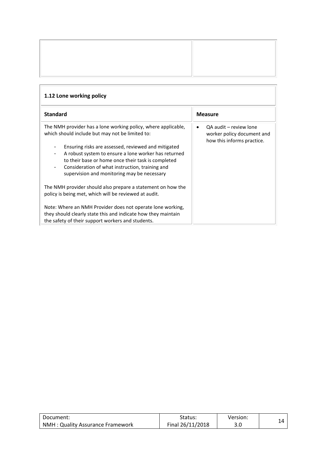<span id="page-13-0"></span>

| 1.12 Lone working policy                                                                                                                                                                                                                                                                                          |                                                                                    |  |
|-------------------------------------------------------------------------------------------------------------------------------------------------------------------------------------------------------------------------------------------------------------------------------------------------------------------|------------------------------------------------------------------------------------|--|
| <b>Standard</b>                                                                                                                                                                                                                                                                                                   | <b>Measure</b>                                                                     |  |
| The NMH provider has a lone working policy, where applicable,<br>which should include but may not be limited to:                                                                                                                                                                                                  | QA audit - review lone<br>worker policy document and<br>how this informs practice. |  |
| Ensuring risks are assessed, reviewed and mitigated<br>$\overline{\phantom{a}}$<br>A robust system to ensure a lone worker has returned<br>to their base or home once their task is completed<br>Consideration of what instruction, training and<br>$\blacksquare$<br>supervision and monitoring may be necessary |                                                                                    |  |
| The NMH provider should also prepare a statement on how the<br>policy is being met, which will be reviewed at audit.                                                                                                                                                                                              |                                                                                    |  |
| Note: Where an NMH Provider does not operate lone working,<br>they should clearly state this and indicate how they maintain<br>the safety of their support workers and students.                                                                                                                                  |                                                                                    |  |

| Document:                        | Status:          | Version: |  |
|----------------------------------|------------------|----------|--|
| NMH: Quality Assurance Framework | Final 26/11/2018 | J.U      |  |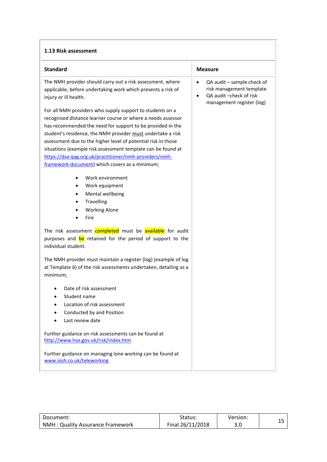#### <span id="page-14-0"></span>**1.13 Risk assessment**

| <b>Standard</b>                                                                                                                                                                                                                                                                                                                                                                                                                                                                                     | Measure                                                                                                                                   |
|-----------------------------------------------------------------------------------------------------------------------------------------------------------------------------------------------------------------------------------------------------------------------------------------------------------------------------------------------------------------------------------------------------------------------------------------------------------------------------------------------------|-------------------------------------------------------------------------------------------------------------------------------------------|
| The NMH provider should carry out a risk assessment, where<br>applicable, before undertaking work which presents a risk of<br>injury or ill health.                                                                                                                                                                                                                                                                                                                                                 | QA audit - sample check of<br>$\bullet$<br>risk management template<br>QA audit - check of risk<br>$\bullet$<br>management register (log) |
| For all NMH providers who supply support to students on a<br>recognised distance learner course or where a needs assessor<br>has recommended the need for support to be provided in the<br>student's residence, the NMH provider must undertake a risk<br>assessment due to the higher level of potential risk in those<br>situations (example risk assessment template can be found at<br>https://dsa-qag.org.uk/practitioner/nmh-providers/nmh-<br>framework-document) which covers as a minimum; |                                                                                                                                           |
| Work environment<br>Work equipment<br>٠<br>Mental wellbeing<br>٠<br><b>Travelling</b><br><b>Working Alone</b><br>Fire                                                                                                                                                                                                                                                                                                                                                                               |                                                                                                                                           |
| The risk assessment completed must be available for audit<br>purposes and be retained for the period of support to the<br>individual student.                                                                                                                                                                                                                                                                                                                                                       |                                                                                                                                           |
| The NMH provider must maintain a register (log) (example of log<br>at Template 6) of the risk assessments undertaken, detailing as a<br>minimum;                                                                                                                                                                                                                                                                                                                                                    |                                                                                                                                           |
| Date of risk assessment<br>Student name<br>Location of risk assessment<br>Conducted by and Position<br>Last review date                                                                                                                                                                                                                                                                                                                                                                             |                                                                                                                                           |
| Further guidance on risk assessments can be found at<br>http://www.hse.gov.uk/risk/index.htm                                                                                                                                                                                                                                                                                                                                                                                                        |                                                                                                                                           |
| Further guidance on managing lone working can be found at<br>www.iosh.co.uk/teleworking                                                                                                                                                                                                                                                                                                                                                                                                             |                                                                                                                                           |

| Document:                        | Status:          | Version: |  |
|----------------------------------|------------------|----------|--|
| NMH: Quality Assurance Framework | Final 26/11/2018 | J.U      |  |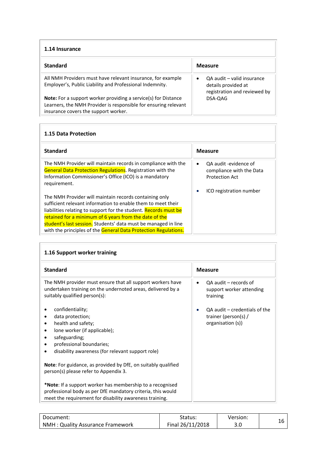<span id="page-15-0"></span>

| 1.14 Insurance                                                                                                                                                                   |                                                                                   |  |
|----------------------------------------------------------------------------------------------------------------------------------------------------------------------------------|-----------------------------------------------------------------------------------|--|
| <b>Standard</b>                                                                                                                                                                  | <b>Measure</b>                                                                    |  |
| All NMH Providers must have relevant insurance, for example<br>Employer's, Public Liability and Professional Indemnity.                                                          | QA audit - valid insurance<br>details provided at<br>registration and reviewed by |  |
| <b>Note:</b> For a support worker providing a service(s) for Distance<br>Learners, the NMH Provider is responsible for ensuring relevant<br>insurance covers the support worker. | DSA-QAG                                                                           |  |

#### <span id="page-15-1"></span>**1.15 Data Protection**

| <b>Standard</b>                                                                                                                                                                                              | <b>Measure</b>                                                                          |
|--------------------------------------------------------------------------------------------------------------------------------------------------------------------------------------------------------------|-----------------------------------------------------------------------------------------|
| The NMH Provider will maintain records in compliance with the<br><b>General Data Protection Regulations.</b> Registration with the<br>Information Commissioner's Office (ICO) is a mandatory<br>requirement. | QA audit -evidence of<br>$\bullet$<br>compliance with the Data<br><b>Protection Act</b> |
|                                                                                                                                                                                                              | ICO registration number                                                                 |
| The NMH Provider will maintain records containing only                                                                                                                                                       |                                                                                         |
| sufficient relevant information to enable them to meet their                                                                                                                                                 |                                                                                         |
| liabilities relating to support for the student. Records must be                                                                                                                                             |                                                                                         |
| retained for a minimum of 6 years from the date of the                                                                                                                                                       |                                                                                         |
| student's last session. Students' data must be managed in line                                                                                                                                               |                                                                                         |
| with the principles of the General Data Protection Regulations.                                                                                                                                              |                                                                                         |

<span id="page-15-2"></span>

| 1.16 Support worker training                                                                                                                                                                     |                                                                                 |  |  |
|--------------------------------------------------------------------------------------------------------------------------------------------------------------------------------------------------|---------------------------------------------------------------------------------|--|--|
| <b>Standard</b>                                                                                                                                                                                  | <b>Measure</b>                                                                  |  |  |
| The NMH provider must ensure that all support workers have<br>undertaken training on the undernoted areas, delivered by a<br>suitably qualified person(s):                                       | QA audit – records of<br>٠<br>support worker attending<br>training              |  |  |
| confidentiality;<br>data protection;<br>health and safety;<br>lone worker (if applicable);<br>٠<br>safeguarding;<br>professional boundaries;<br>disability awareness (for relevant support role) | OA audit – credentials of the<br>٠<br>trainer (person(s) /<br>organisation (s)) |  |  |
| <b>Note:</b> For guidance, as provided by DfE, on suitably qualified<br>person(s) please refer to Appendix 3.                                                                                    |                                                                                 |  |  |
| *Note: If a support worker has membership to a recognised<br>professional body as per DfE mandatory criteria, this would<br>meet the requirement for disability awareness training.              |                                                                                 |  |  |

| Document:                        | Status:          | Version: |  |
|----------------------------------|------------------|----------|--|
| NMH: Quality Assurance Framework | Final 26/11/2018 | J.U      |  |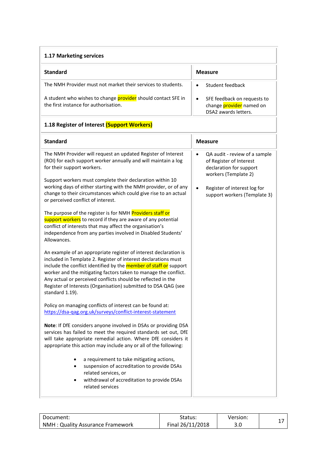<span id="page-16-1"></span><span id="page-16-0"></span>

| 1.17 Marketing services                                                                                                                                                                                                                                                                                                                                                                                                                |                                                                                                                                                                                                       |  |
|----------------------------------------------------------------------------------------------------------------------------------------------------------------------------------------------------------------------------------------------------------------------------------------------------------------------------------------------------------------------------------------------------------------------------------------|-------------------------------------------------------------------------------------------------------------------------------------------------------------------------------------------------------|--|
| <b>Standard</b>                                                                                                                                                                                                                                                                                                                                                                                                                        | <b>Measure</b>                                                                                                                                                                                        |  |
| The NMH Provider must not market their services to students.                                                                                                                                                                                                                                                                                                                                                                           | Student feedback<br>$\bullet$                                                                                                                                                                         |  |
| A student who wishes to change provider should contact SFE in<br>the first instance for authorisation.                                                                                                                                                                                                                                                                                                                                 | SFE feedback on requests to<br>$\bullet$<br>change <i>provider</i> named on<br>DSA2 awards letters.                                                                                                   |  |
| 1.18 Register of Interest (Support Workers)                                                                                                                                                                                                                                                                                                                                                                                            |                                                                                                                                                                                                       |  |
| <b>Standard</b>                                                                                                                                                                                                                                                                                                                                                                                                                        | <b>Measure</b>                                                                                                                                                                                        |  |
| The NMH Provider will request an updated Register of Interest<br>(ROI) for each support worker annually and will maintain a log<br>for their support workers.<br>Support workers must complete their declaration within 10<br>working days of either starting with the NMH provider, or of any<br>change to their circumstances which could give rise to an actual<br>or perceived conflict of interest.                               | QA audit - review of a sample<br>$\bullet$<br>of Register of Interest<br>declaration for support<br>workers (Template 2)<br>Register of interest log for<br>$\bullet$<br>support workers (Template 3) |  |
| The purpose of the register is for NMH Providers staff or<br>support workers to record if they are aware of any potential<br>conflict of interests that may affect the organisation's<br>independence from any parties involved in Disabled Students'<br>Allowances.                                                                                                                                                                   |                                                                                                                                                                                                       |  |
| An example of an appropriate register of interest declaration is<br>included in Template 2. Register of interest declarations must<br>include the conflict identified by the <b>member of staff or</b> support<br>worker and the mitigating factors taken to manage the conflict.<br>Any actual or perceived conflicts should be reflected in the<br>Register of Interests (Organisation) submitted to DSA QAG (see<br>standard 1.19). |                                                                                                                                                                                                       |  |
| Policy on managing conflicts of interest can be found at:<br>https://dsa-qag.org.uk/surveys/conflict-interest-statement                                                                                                                                                                                                                                                                                                                |                                                                                                                                                                                                       |  |
| Note: If DfE considers anyone involved in DSAs or providing DSA<br>services has failed to meet the required standards set out, DfE<br>will take appropriate remedial action. Where DfE considers it<br>appropriate this action may include any or all of the following:                                                                                                                                                                |                                                                                                                                                                                                       |  |
| a requirement to take mitigating actions,<br>suspension of accreditation to provide DSAs<br>related services, or<br>withdrawal of accreditation to provide DSAs<br>$\bullet$<br>related services                                                                                                                                                                                                                                       |                                                                                                                                                                                                       |  |

| Document:                         | Status:          | Version: |  |
|-----------------------------------|------------------|----------|--|
| NMH : Quality Assurance Framework | Final 26/11/2018 | 3.0      |  |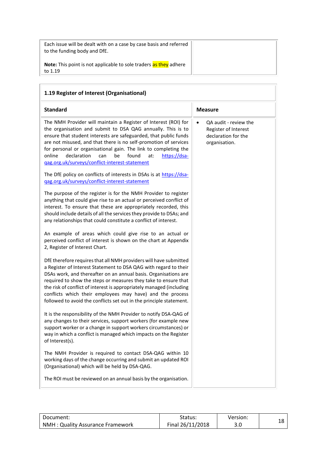Each issue will be dealt with on a case by case basis and referred to the funding body and DfE.

**Note:** This point is not applicable to sole traders as they adhere to 1.19

<span id="page-17-0"></span>

| 1.19 Register of Interest (Organisational)                                                                                                                                                                                                                                                                                                                                                                                                                                              |                                                                                                    |
|-----------------------------------------------------------------------------------------------------------------------------------------------------------------------------------------------------------------------------------------------------------------------------------------------------------------------------------------------------------------------------------------------------------------------------------------------------------------------------------------|----------------------------------------------------------------------------------------------------|
| <b>Standard</b>                                                                                                                                                                                                                                                                                                                                                                                                                                                                         | <b>Measure</b>                                                                                     |
| The NMH Provider will maintain a Register of Interest (ROI) for<br>the organisation and submit to DSA QAG annually. This is to<br>ensure that student interests are safeguarded, that public funds<br>are not misused, and that there is no self-promotion of services<br>for personal or organisational gain. The link to completing the<br>declaration<br>found<br>online<br>can<br>be<br>at:<br>https://dsa-<br>gag.org.uk/surveys/conflict-interest-statement                       | QA audit - review the<br>$\bullet$<br>Register of Interest<br>declaration for the<br>organisation. |
| The DfE policy on conflicts of interests in DSAs is at https://dsa-<br>gag.org.uk/surveys/conflict-interest-statement                                                                                                                                                                                                                                                                                                                                                                   |                                                                                                    |
| The purpose of the register is for the NMH Provider to register<br>anything that could give rise to an actual or perceived conflict of<br>interest. To ensure that these are appropriately recorded, this<br>should include details of all the services they provide to DSAs; and<br>any relationships that could constitute a conflict of interest.                                                                                                                                    |                                                                                                    |
| An example of areas which could give rise to an actual or<br>perceived conflict of interest is shown on the chart at Appendix<br>2, Register of Interest Chart.                                                                                                                                                                                                                                                                                                                         |                                                                                                    |
| DfE therefore requires that all NMH providers will have submitted<br>a Register of Interest Statement to DSA QAG with regard to their<br>DSAs work, and thereafter on an annual basis. Organisations are<br>required to show the steps or measures they take to ensure that<br>the risk of conflict of interest is appropriately managed (including<br>conflicts which their employees may have) and the process<br>followed to avoid the conflicts set out in the principle statement. |                                                                                                    |
| It is the responsibility of the NMH Provider to notify DSA-QAG of<br>any changes to their services, support workers (for example new<br>support worker or a change in support workers circumstances) or<br>way in which a conflict is managed which impacts on the Register<br>of Interest(s).                                                                                                                                                                                          |                                                                                                    |
| The NMH Provider is required to contact DSA-QAG within 10<br>working days of the change occurring and submit an updated ROI<br>(Organisational) which will be held by DSA-QAG.                                                                                                                                                                                                                                                                                                          |                                                                                                    |
| The ROI must be reviewed on an annual basis by the organisation.                                                                                                                                                                                                                                                                                                                                                                                                                        |                                                                                                    |

| Document:                        | Status:          | Version: |  |
|----------------------------------|------------------|----------|--|
| NMH: Quality Assurance Framework | Final 26/11/2018 | 3.0      |  |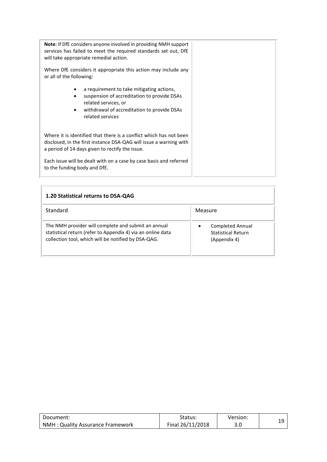| <b>Note:</b> If DfE considers anyone involved in providing NMH support<br>services has failed to meet the required standards set out, DfE<br>will take appropriate remedial action.         |  |
|---------------------------------------------------------------------------------------------------------------------------------------------------------------------------------------------|--|
| Where DfE considers it appropriate this action may include any<br>or all of the following:                                                                                                  |  |
| a requirement to take mitigating actions,<br>suspension of accreditation to provide DSAs<br>related services, or<br>withdrawal of accreditation to provide DSAs<br>related services         |  |
| Where it is identified that there is a conflict which has not been<br>disclosed, in the first instance DSA-QAG will issue a warning with<br>a period of 14 days given to rectify the issue. |  |
| Each issue will be dealt with on a case by case basis and referred<br>to the funding body and DfE.                                                                                          |  |

<span id="page-18-0"></span>

| 1.20 Statistical returns to DSA-QAG                                                                                                                                       |                                                                                   |
|---------------------------------------------------------------------------------------------------------------------------------------------------------------------------|-----------------------------------------------------------------------------------|
| Standard                                                                                                                                                                  | Measure                                                                           |
| The NMH provider will complete and submit an annual<br>statistical return (refer to Appendix 4) via an online data<br>collection tool, which will be notified by DSA-QAG. | <b>Completed Annual</b><br>$\bullet$<br><b>Statistical Return</b><br>(Appendix 4) |

| Document:                        | Status:          | Version: |  |
|----------------------------------|------------------|----------|--|
| NMH: Quality Assurance Framework | Final 26/11/2018 | J.U      |  |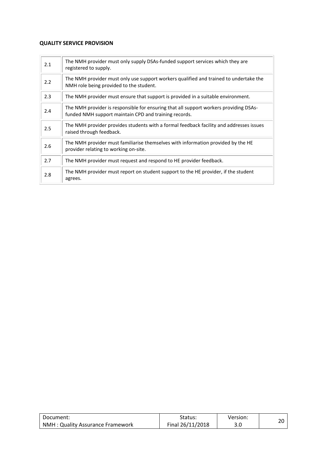#### <span id="page-19-0"></span>**QUALITY SERVICE PROVISION**

| 2.1 | The NMH provider must only supply DSAs-funded support services which they are<br>registered to supply.                                         |
|-----|------------------------------------------------------------------------------------------------------------------------------------------------|
| 2.2 | The NMH provider must only use support workers qualified and trained to undertake the<br>NMH role being provided to the student.               |
| 2.3 | The NMH provider must ensure that support is provided in a suitable environment.                                                               |
| 2.4 | The NMH provider is responsible for ensuring that all support workers providing DSAs-<br>funded NMH support maintain CPD and training records. |
| 2.5 | The NMH provider provides students with a formal feedback facility and addresses issues<br>raised through feedback.                            |
| 2.6 | The NMH provider must familiarise themselves with information provided by the HE<br>provider relating to working on-site.                      |
| 2.7 | The NMH provider must request and respond to HE provider feedback.                                                                             |
| 2.8 | The NMH provider must report on student support to the HE provider, if the student<br>agrees.                                                  |

| Document:                        | Status:          | Version: |  |
|----------------------------------|------------------|----------|--|
| NMH: Quality Assurance Framework | Final 26/11/2018 |          |  |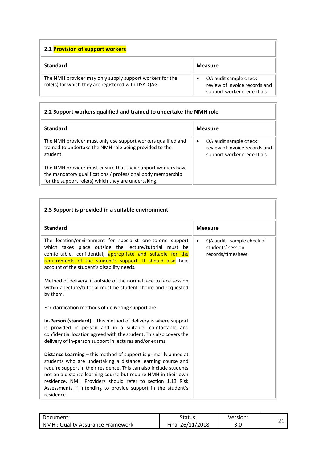<span id="page-20-0"></span>

| 2.1 Provision of support workers                                                                                |                                                                                       |  |
|-----------------------------------------------------------------------------------------------------------------|---------------------------------------------------------------------------------------|--|
| <b>Standard</b>                                                                                                 | <b>Measure</b>                                                                        |  |
| The NMH provider may only supply support workers for the<br>role(s) for which they are registered with DSA-QAG. | QA audit sample check:<br>review of invoice records and<br>support worker credentials |  |

#### <span id="page-20-1"></span>**2.2 Support workers qualified and trained to undertake the NMH role**

| <b>Standard</b>                                                                                                                                                                    | <b>Measure</b>                                                                                     |
|------------------------------------------------------------------------------------------------------------------------------------------------------------------------------------|----------------------------------------------------------------------------------------------------|
| The NMH provider must only use support workers qualified and<br>trained to undertake the NMH role being provided to the<br>student.                                                | QA audit sample check:<br>$\bullet$<br>review of invoice records and<br>support worker credentials |
| The NMH provider must ensure that their support workers have<br>the mandatory qualifications / professional body membership<br>for the support role(s) which they are undertaking. |                                                                                                    |

<span id="page-20-2"></span>

| 2.3 Support is provided in a suitable environment                                                                                                                                                                                                                                                                                                                                                                                                                                                                                                                                                                                                                                                                                                                                                                                                                                                                                                                                                                                                                                                                                    |                                                                                   |
|--------------------------------------------------------------------------------------------------------------------------------------------------------------------------------------------------------------------------------------------------------------------------------------------------------------------------------------------------------------------------------------------------------------------------------------------------------------------------------------------------------------------------------------------------------------------------------------------------------------------------------------------------------------------------------------------------------------------------------------------------------------------------------------------------------------------------------------------------------------------------------------------------------------------------------------------------------------------------------------------------------------------------------------------------------------------------------------------------------------------------------------|-----------------------------------------------------------------------------------|
| <b>Standard</b>                                                                                                                                                                                                                                                                                                                                                                                                                                                                                                                                                                                                                                                                                                                                                                                                                                                                                                                                                                                                                                                                                                                      | <b>Measure</b>                                                                    |
| The location/environment for specialist one-to-one support<br>which takes place outside the lecture/tutorial must be<br>comfortable, confidential, appropriate and suitable for the<br>requirements of the student's support. It should also take<br>account of the student's disability needs.<br>Method of delivery, if outside of the normal face to face session<br>within a lecture/tutorial must be student choice and requested<br>by them.<br>For clarification methods of delivering support are:<br><b>In-Person (standard)</b> $-$ this method of delivery is where support<br>is provided in person and in a suitable, comfortable and<br>confidential location agreed with the student. This also covers the<br>delivery of in-person support in lectures and/or exams.<br><b>Distance Learning</b> – this method of support is primarily aimed at<br>students who are undertaking a distance learning course and<br>require support in their residence. This can also include students<br>not on a distance learning course but require NMH in their own<br>residence. NMH Providers should refer to section 1.13 Risk | QA audit - sample check of<br>$\bullet$<br>students' session<br>records/timesheet |

| Document:                        | Status:          | Version: |  |
|----------------------------------|------------------|----------|--|
| NMH: Quality Assurance Framework | Final 26/11/2018 | J.U      |  |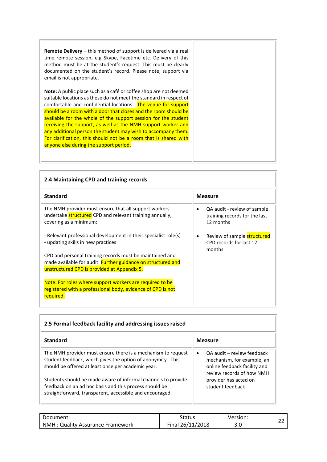| <b>Remote Delivery</b> – this method of support is delivered via a real<br>time remote session, e.g Skype, Facetime etc. Delivery of this<br>method must be at the student's request. This must be clearly<br>documented on the student's record. Please note, support via<br>email is not appropriate.                                                                                                                                                                                                                                                                                      |
|----------------------------------------------------------------------------------------------------------------------------------------------------------------------------------------------------------------------------------------------------------------------------------------------------------------------------------------------------------------------------------------------------------------------------------------------------------------------------------------------------------------------------------------------------------------------------------------------|
| Note: A public place such as a café or coffee shop are not deemed<br>suitable locations as these do not meet the standard in respect of<br>comfortable and confidential locations. The venue for support<br>should be a room with a door that closes and the room should be<br>available for the whole of the support session for the student<br>receiving the support, as well as the NMH support worker and<br>any additional person the student may wish to accompany them.<br>For clarification, this should not be a room that is shared with<br>anyone else during the support period. |

<span id="page-21-0"></span>

| 2.4 Maintaining CPD and training records                                                                                                    |                                                                           |  |  |
|---------------------------------------------------------------------------------------------------------------------------------------------|---------------------------------------------------------------------------|--|--|
| <b>Standard</b>                                                                                                                             | <b>Measure</b>                                                            |  |  |
| The NMH provider must ensure that all support workers<br>undertake structured CPD and relevant training annually,<br>covering as a minimum: | QA audit - review of sample<br>training records for the last<br>12 months |  |  |
| - Relevant professional development in their specialist role(s)<br>- updating skills in new practices                                       | Review of sample <b>structured</b><br>CPD records for last 12<br>months   |  |  |
| CPD and personal training records must be maintained and                                                                                    |                                                                           |  |  |
| made available for audit. Further guidance on structured and                                                                                |                                                                           |  |  |
| unstructured CPD is provided at Appendix 5.                                                                                                 |                                                                           |  |  |
| Note: For roles where support workers are required to be                                                                                    |                                                                           |  |  |
| registered with a professional body, evidence of CPD is not                                                                                 |                                                                           |  |  |
| required.                                                                                                                                   |                                                                           |  |  |

<span id="page-21-1"></span>

| <b>Standard</b>                                                                                                                                                                     | <b>Measure</b>                                                                                                                     |  |  |
|-------------------------------------------------------------------------------------------------------------------------------------------------------------------------------------|------------------------------------------------------------------------------------------------------------------------------------|--|--|
| The NMH provider must ensure there is a mechanism to request<br>student feedback, which gives the option of anonymity. This<br>should be offered at least once per academic year.   | OA audit - review feedback<br>$\bullet$<br>mechanism, for example, an<br>online feedback facility and<br>review records of how NMH |  |  |
| Students should be made aware of informal channels to provide<br>feedback on an ad hoc basis and this process should be<br>straightforward, transparent, accessible and encouraged. | provider has acted on<br>student feedback                                                                                          |  |  |

| Document:                        | Status:          | Version: |  |
|----------------------------------|------------------|----------|--|
| NMH: Quality Assurance Framework | Final 26/11/2018 | 3.0      |  |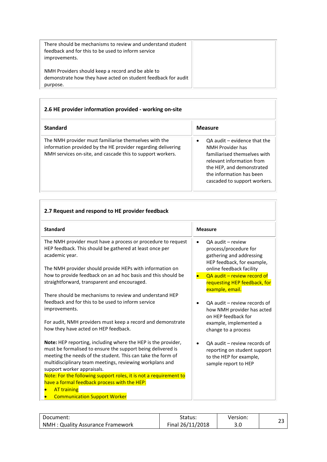| There should be mechanisms to review and understand student<br>feedback and for this to be used to inform service<br>improvements. |  |
|------------------------------------------------------------------------------------------------------------------------------------|--|
| NMH Providers should keep a record and be able to<br>demonstrate how they have acted on student feedback for audit<br>purpose.     |  |

÷

<span id="page-22-0"></span>

| 2.6 HE provider information provided - working on-site                                                                                                                              |                                                                                                                                                                                                            |  |
|-------------------------------------------------------------------------------------------------------------------------------------------------------------------------------------|------------------------------------------------------------------------------------------------------------------------------------------------------------------------------------------------------------|--|
| <b>Standard</b>                                                                                                                                                                     | <b>Measure</b>                                                                                                                                                                                             |  |
| The NMH provider must familiarise themselves with the<br>information provided by the HE provider regarding delivering<br>NMH services on-site, and cascade this to support workers. | $OA$ audit $-$ evidence that the<br>NMH Provider has<br>familiarised themselves with<br>relevant information from<br>the HEP, and demonstrated<br>the information has been<br>cascaded to support workers. |  |

<span id="page-22-1"></span>

| <b>Standard</b>                                                                                                                                                                                                                                                                       | <b>Measure</b> |                                                                                                                 |
|---------------------------------------------------------------------------------------------------------------------------------------------------------------------------------------------------------------------------------------------------------------------------------------|----------------|-----------------------------------------------------------------------------------------------------------------|
| The NMH provider must have a process or procedure to request<br>HEP feedback. This should be gathered at least once per<br>academic year.                                                                                                                                             | $\bullet$      | QA audit - review<br>process/procedure for<br>gathering and addressing<br>HEP feedback, for example,            |
| The NMH provider should provide HEPs with information on                                                                                                                                                                                                                              |                | online feedback facility                                                                                        |
| how to provide feedback on an ad hoc basis and this should be<br>straightforward, transparent and encouraged.                                                                                                                                                                         |                | OA audit - review record of<br>requesting HEP feedback, for<br>example, email.                                  |
| There should be mechanisms to review and understand HEP                                                                                                                                                                                                                               |                |                                                                                                                 |
| feedback and for this to be used to inform service<br>improvements.                                                                                                                                                                                                                   | $\bullet$      | OA audit – review records of<br>how NMH provider has acted<br>on HEP feedback for                               |
| For audit, NMH providers must keep a record and demonstrate<br>how they have acted on HEP feedback.                                                                                                                                                                                   |                | example, implemented a<br>change to a process                                                                   |
| Note: HEP reporting, including where the HEP is the provider,<br>must be formalised to ensure the support being delivered is<br>meeting the needs of the student. This can take the form of<br>multidisciplinary team meetings, reviewing workplans and<br>support worker appraisals. |                | OA audit – review records of<br>reporting on student support<br>to the HEP for example,<br>sample report to HEP |
| Note: For the following support roles, it is not a requirement to                                                                                                                                                                                                                     |                |                                                                                                                 |
| have a formal feedback process with the HEP:                                                                                                                                                                                                                                          |                |                                                                                                                 |
| <b>AT training</b>                                                                                                                                                                                                                                                                    |                |                                                                                                                 |
| <b>Communication Support Worker</b>                                                                                                                                                                                                                                                   |                |                                                                                                                 |

| Document:                        | Status:          | Version: |  |
|----------------------------------|------------------|----------|--|
| NMH: Quality Assurance Framework | Final 26/11/2018 | J.L      |  |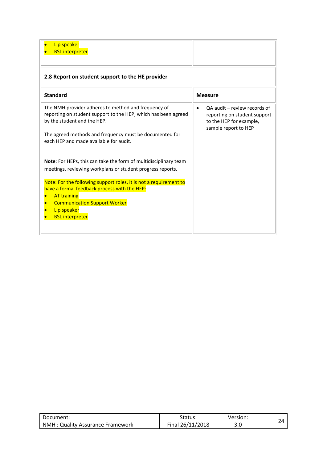<span id="page-23-0"></span>

| Lip speaker<br><b>BSL interpreter</b>                                                                                                                                                                                                                     |                                                                                                                              |
|-----------------------------------------------------------------------------------------------------------------------------------------------------------------------------------------------------------------------------------------------------------|------------------------------------------------------------------------------------------------------------------------------|
| 2.8 Report on student support to the HE provider                                                                                                                                                                                                          |                                                                                                                              |
| <b>Standard</b>                                                                                                                                                                                                                                           | <b>Measure</b>                                                                                                               |
| The NMH provider adheres to method and frequency of<br>reporting on student support to the HEP, which has been agreed<br>by the student and the HEP.<br>The agreed methods and frequency must be documented for<br>each HEP and made available for audit. | QA audit - review records of<br>$\bullet$<br>reporting on student support<br>to the HEP for example,<br>sample report to HEP |
| Note: For HEPs, this can take the form of multidisciplinary team<br>meetings, reviewing workplans or student progress reports.                                                                                                                            |                                                                                                                              |
| Note: For the following support roles, it is not a requirement to<br>have a formal feedback process with the HEP:<br><b>AT training</b><br><b>Communication Support Worker</b><br>Lip speaker<br><b>BSL interpreter</b>                                   |                                                                                                                              |

| Document:                         | Status:          | Version: |  |
|-----------------------------------|------------------|----------|--|
| NMH : Quality Assurance Framework | Final 26/11/2018 | J.U      |  |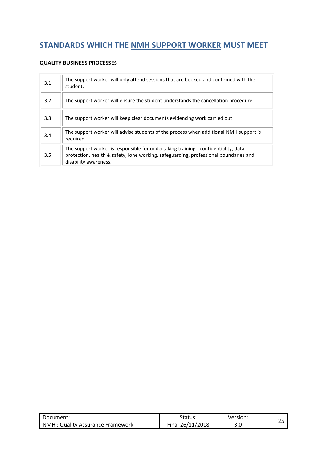# <span id="page-24-0"></span>**STANDARDS WHICH THE NMH SUPPORT WORKER MUST MEET**

#### <span id="page-24-1"></span>**QUALITY BUSINESS PROCESSES**

| 3.1 | The support worker will only attend sessions that are booked and confirmed with the<br>student.                                                                                                     |
|-----|-----------------------------------------------------------------------------------------------------------------------------------------------------------------------------------------------------|
| 3.2 | The support worker will ensure the student understands the cancellation procedure.                                                                                                                  |
| 3.3 | The support worker will keep clear documents evidencing work carried out.                                                                                                                           |
| 3.4 | The support worker will advise students of the process when additional NMH support is<br>required.                                                                                                  |
| 3.5 | The support worker is responsible for undertaking training - confidentiality, data<br>protection, health & safety, lone working, safeguarding, professional boundaries and<br>disability awareness. |

| Document:                        | Status:          | Version: |  |
|----------------------------------|------------------|----------|--|
| NMH: Quality Assurance Framework | Final 26/11/2018 | J.U      |  |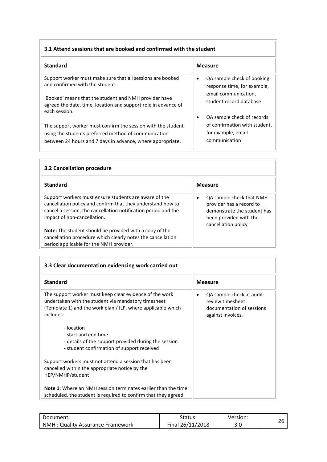#### <span id="page-25-0"></span>**3.1 Attend sessions that are booked and confirmed with the student**

| <b>Standard</b>                                                                                                                          | <b>Measure</b>                                                         |
|------------------------------------------------------------------------------------------------------------------------------------------|------------------------------------------------------------------------|
| Support worker must make sure that all sessions are booked<br>and confirmed with the student.                                            | QA sample check of booking<br>$\bullet$<br>response time, for example, |
| 'Booked' means that the student and NMH provider have<br>agreed the date, time, location and support role in advance of<br>each session. | email communication,<br>student record database                        |
| The support worker must confirm the session with the student                                                                             | QA sample check of records<br>٠<br>of confirmation with student,       |
| using the students preferred method of communication<br>between 24 hours and 7 days in advance, where appropriate.                       | for example, email<br>communication                                    |

<span id="page-25-1"></span>

| 3.2 Cancellation procedure                                                                                                                                                                                            |                                                                                                                                      |  |
|-----------------------------------------------------------------------------------------------------------------------------------------------------------------------------------------------------------------------|--------------------------------------------------------------------------------------------------------------------------------------|--|
| <b>Standard</b>                                                                                                                                                                                                       | <b>Measure</b>                                                                                                                       |  |
| Support workers must ensure students are aware of the<br>cancellation policy and confirm that they understand how to<br>cancel a session, the cancellation notification period and the<br>impact of non-cancellation. | QA sample check that NMH<br>provider has a record to<br>demonstrate the student has<br>been provided with the<br>cancellation policy |  |
| Note: The student should be provided with a copy of the<br>cancellation procedure which clearly notes the cancellation<br>period applicable for the NMH provider.                                                     |                                                                                                                                      |  |

r

<span id="page-25-2"></span>

| 3.3 Clear documentation evidencing work carried out                                                                                                                                         |                                                                                                 |  |
|---------------------------------------------------------------------------------------------------------------------------------------------------------------------------------------------|-------------------------------------------------------------------------------------------------|--|
| <b>Standard</b>                                                                                                                                                                             | <b>Measure</b>                                                                                  |  |
| The support worker must keep clear evidence of the work<br>undertaken with the student via mandatory timesheet<br>(Template 1) and the work plan / ILP, where applicable which<br>includes: | QA sample check at audit:<br>review timesheet<br>documentation of sessions<br>against invoices. |  |
| - location<br>- start and end time<br>- details of the support provided during the session<br>- student confirmation of support received                                                    |                                                                                                 |  |
| Support workers must not attend a session that has been<br>cancelled within the appropriate notice by the<br>HEP/NMHP/student                                                               |                                                                                                 |  |
| <b>Note 1:</b> Where an NMH session terminates earlier than the time<br>scheduled, the student is required to confirm that they agreed                                                      |                                                                                                 |  |

| Document:                        | Status:          | Version: |  |
|----------------------------------|------------------|----------|--|
| NMH: Quality Assurance Framework | Final 26/11/2018 | J.U      |  |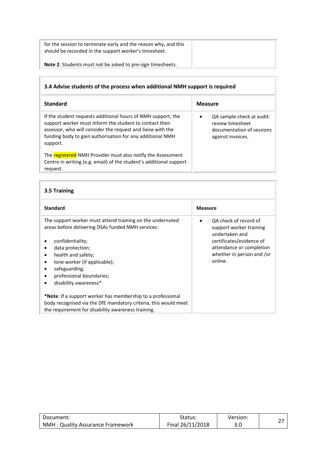for the session to terminate early and the reason why, and this should be recorded in the support worker's timesheet.

**Note 2**: Students must not be asked to pre-sign timesheets.

### <span id="page-26-0"></span>**3.4 Advise students of the process when additional NMH support is required**

| <b>Standard</b>                                                                                                                                                                                                                                                 | <b>Measure</b>                                                                                  |
|-----------------------------------------------------------------------------------------------------------------------------------------------------------------------------------------------------------------------------------------------------------------|-------------------------------------------------------------------------------------------------|
| If the student requests additional hours of NMH support, the<br>support worker must inform the student to contact their<br>assessor, who will consider the request and liaise with the<br>funding body to gain authorisation for any additional NMH<br>support. | QA sample check at audit:<br>review timesheet<br>documentation of sessions<br>against invoices. |
| The registered NMH Provider must also notify the Assessment<br>Centre in writing (e.g. email) of the student's additional support<br>request.                                                                                                                   |                                                                                                 |

<span id="page-26-1"></span>

| 3.5 Training                                                                                                                                                                                                                                                                                                                        |                                                                                                                                                                    |  |
|-------------------------------------------------------------------------------------------------------------------------------------------------------------------------------------------------------------------------------------------------------------------------------------------------------------------------------------|--------------------------------------------------------------------------------------------------------------------------------------------------------------------|--|
| <b>Standard</b>                                                                                                                                                                                                                                                                                                                     | <b>Measure</b>                                                                                                                                                     |  |
| The support worker must attend training on the undernoted<br>areas before delivering DSAs funded NMH services:<br>confidentiality;<br>data protection;<br>٠<br>health and safety;<br>٠<br>lone worker (if applicable);<br>$\bullet$<br>safeguarding;<br>$\bullet$<br>professional boundaries;<br>$\bullet$<br>disability awareness* | OA check of record of<br>support worker training<br>undertaken and<br>certificates/evidence of<br>attendance or completion<br>whether in person and /or<br>online. |  |
| <b>*Note</b> : If a support worker has membership to a professional<br>body recognised via the DfE mandatory criteria, this would meet<br>the requirement for disability awareness training.                                                                                                                                        |                                                                                                                                                                    |  |

| Document:                               | Status:          | Version: |  |
|-----------------------------------------|------------------|----------|--|
| <b>NMH: Quality Assurance Framework</b> | Final 26/11/2018 | J.U      |  |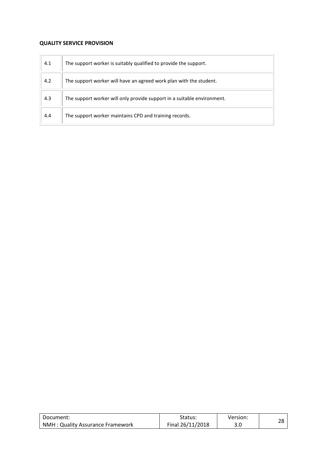#### <span id="page-27-0"></span>**QUALITY SERVICE PROVISION**

| 4.1 | The support worker is suitably qualified to provide the support.        |
|-----|-------------------------------------------------------------------------|
| 4.2 | The support worker will have an agreed work plan with the student.      |
| 4.3 | The support worker will only provide support in a suitable environment. |
| 4.4 | The support worker maintains CPD and training records.                  |

| Document:                        | Status:          | Version: | ിറ |
|----------------------------------|------------------|----------|----|
| NMH: Quality Assurance Framework | Final 26/11/2018 | 3.0      |    |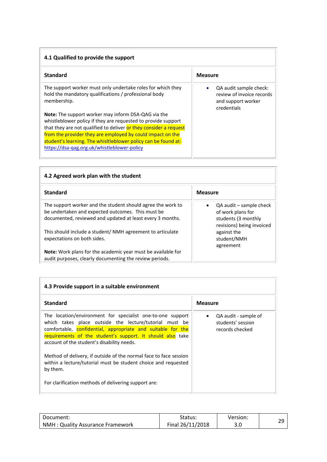<span id="page-28-0"></span>

| 4.1 Qualified to provide the support                                                                                                |                                                                                          |  |  |  |  |  |
|-------------------------------------------------------------------------------------------------------------------------------------|------------------------------------------------------------------------------------------|--|--|--|--|--|
| <b>Standard</b>                                                                                                                     | <b>Measure</b>                                                                           |  |  |  |  |  |
| The support worker must only undertake roles for which they<br>hold the mandatory qualifications / professional body<br>membership. | QA audit sample check:<br>review of invoice records<br>and support worker<br>credentials |  |  |  |  |  |
| <b>Note:</b> The support worker may inform DSA-QAG via the<br>whistleblower policy if they are requested to provide support         |                                                                                          |  |  |  |  |  |
| that they are not qualified to deliver or they consider a request                                                                   |                                                                                          |  |  |  |  |  |
| from the provider they are employed by could impact on the<br>student's learning. The whisitleblower policy can be found at:        |                                                                                          |  |  |  |  |  |
| https://dsa-qag.org.uk/whistleblower-policy                                                                                         |                                                                                          |  |  |  |  |  |
|                                                                                                                                     |                                                                                          |  |  |  |  |  |

<span id="page-28-1"></span>

| 4.2 Agreed work plan with the student                                                                                                                                         |                                                                                                  |  |  |  |  |  |
|-------------------------------------------------------------------------------------------------------------------------------------------------------------------------------|--------------------------------------------------------------------------------------------------|--|--|--|--|--|
| <b>Standard</b>                                                                                                                                                               | <b>Measure</b>                                                                                   |  |  |  |  |  |
| The support worker and the student should agree the work to<br>be undertaken and expected outcomes. This must be<br>documented, reviewed and updated at least every 3 months. | QA audit – sample check<br>of work plans for<br>students (3 monthly<br>revisions) being invoiced |  |  |  |  |  |
| This should include a student/NMH agreement to articulate<br>expectations on both sides.                                                                                      | against the<br>student/NMH<br>agreement                                                          |  |  |  |  |  |
| <b>Note:</b> Work plans for the academic year must be available for<br>audit purposes, clearly documenting the review periods.                                                |                                                                                                  |  |  |  |  |  |

<span id="page-28-2"></span>

| 4.3 Provide support in a suitable environment                                                                                                                                                                                                                                                   |                                                              |  |  |  |  |  |  |
|-------------------------------------------------------------------------------------------------------------------------------------------------------------------------------------------------------------------------------------------------------------------------------------------------|--------------------------------------------------------------|--|--|--|--|--|--|
| <b>Standard</b>                                                                                                                                                                                                                                                                                 | <b>Measure</b>                                               |  |  |  |  |  |  |
| The location/environment for specialist one-to-one support<br>which takes place outside the lecture/tutorial must be<br>comfortable, confidential, appropriate and suitable for the<br>requirements of the student's support. It should also take<br>account of the student's disability needs. | QA audit - sample of<br>students' session<br>records checked |  |  |  |  |  |  |
| Method of delivery, if outside of the normal face to face session<br>within a lecture/tutorial must be student choice and requested<br>by them.                                                                                                                                                 |                                                              |  |  |  |  |  |  |
| For clarification methods of delivering support are:                                                                                                                                                                                                                                            |                                                              |  |  |  |  |  |  |

| Document:                        | Status:          | Version: |  |
|----------------------------------|------------------|----------|--|
| NMH: Quality Assurance Framework | Final 26/11/2018 | 3.C      |  |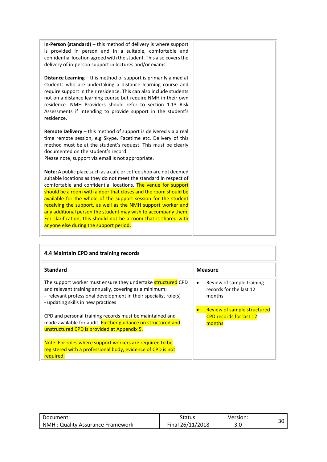| <b>In-Person (standard)</b> $-$ this method of delivery is where support<br>is provided in person and in a suitable, comfortable and<br>confidential location agreed with the student. This also covers the<br>delivery of in-person support in lectures and/or exams.                                                                                                                                                                                                                                                                                                                      |  |
|---------------------------------------------------------------------------------------------------------------------------------------------------------------------------------------------------------------------------------------------------------------------------------------------------------------------------------------------------------------------------------------------------------------------------------------------------------------------------------------------------------------------------------------------------------------------------------------------|--|
| <b>Distance Learning</b> – this method of support is primarily aimed at<br>students who are undertaking a distance learning course and<br>require support in their residence. This can also include students<br>not on a distance learning course but require NMH in their own<br>residence. NMH Providers should refer to section 1.13 Risk<br>Assessments if intending to provide support in the student's<br>residence.                                                                                                                                                                  |  |
| Remote Delivery - this method of support is delivered via a real<br>time remote session, e.g Skype, Facetime etc. Delivery of this<br>method must be at the student's request. This must be clearly<br>documented on the student's record.<br>Please note, support via email is not appropriate.                                                                                                                                                                                                                                                                                            |  |
| Note: A public place such as a café or coffee shop are not deemed<br>suitable locations as they do not meet the standard in respect of<br>comfortable and confidential locations. The venue for support<br>should be a room with a door that closes and the room should be<br>available for the whole of the support session for the student<br>receiving the support, as well as the NMH support worker and<br>any additional person the student may wish to accompany them.<br>For clarification, this should not be a room that is shared with<br>anyone else during the support period. |  |

<span id="page-29-0"></span>

| 4.4 Maintain CPD and training records                                                                                                                                                                                                  |                                                                                |  |  |  |  |  |
|----------------------------------------------------------------------------------------------------------------------------------------------------------------------------------------------------------------------------------------|--------------------------------------------------------------------------------|--|--|--|--|--|
| <b>Standard</b>                                                                                                                                                                                                                        | <b>Measure</b>                                                                 |  |  |  |  |  |
| The support worker must ensure they undertake <b>structured</b> CPD<br>and relevant training annually, covering as a minimum:<br>- relevant professional development in their specialist role(s)<br>- updating skills in new practices | Review of sample training<br>٠<br>records for the last 12<br>months            |  |  |  |  |  |
| CPD and personal training records must be maintained and<br>made available for audit. Further guidance on structured and<br>unstructured CPD is provided at Appendix 5.                                                                | <b>Review of sample structured</b><br><b>CPD records for last 12</b><br>months |  |  |  |  |  |
| Note: For roles where support workers are required to be<br>registered with a professional body, evidence of CPD is not<br>reguired.                                                                                                   |                                                                                |  |  |  |  |  |

| Document:                        | Status:          | Version: |  |
|----------------------------------|------------------|----------|--|
| NMH: Quality Assurance Framework | Final 26/11/2018 | J.U      |  |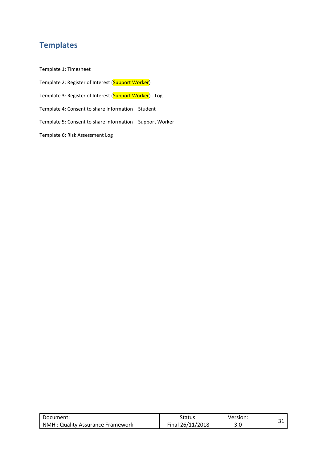# <span id="page-30-0"></span>**Templates**

Template 1: Timesheet

Template 2: Register of Interest (Support Worker)

Template 3: Register of Interest (Support Worker) - Log

Template 4: Consent to share information – Student

Template 5: Consent to share information – Support Worker

Template 6: Risk Assessment Log

| Document:                        | Status:          | Version: |  |
|----------------------------------|------------------|----------|--|
| NMH: Quality Assurance Framework | Final 26/11/2018 | J.U      |  |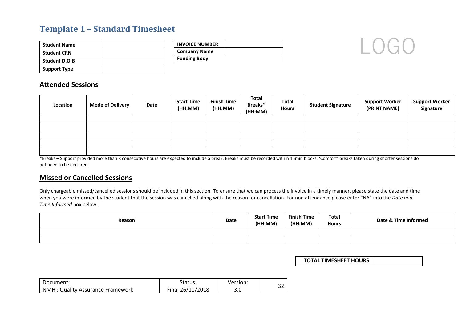# **Template 1 – Standard Timesheet**

| <b>Student Name</b>  |  |
|----------------------|--|
| <b>Student CRN</b>   |  |
| <b>Student D.O.B</b> |  |
| <b>Support Type</b>  |  |

| <b>INVOICE NUMBER</b> |  |
|-----------------------|--|
| <b>Company Name</b>   |  |
| <b>Funding Body</b>   |  |



#### **Attended Sessions**

| Location | <b>Mode of Delivery</b> | Date | <b>Start Time</b><br>(HH:MM) | <b>Finish Time</b><br>(HH:MM) | Total<br>Breaks*<br>(HH:MM) | <b>Total</b><br><b>Hours</b> | <b>Student Signature</b> | <b>Support Worker</b><br>(PRINT NAME) | <b>Support Worker</b><br>Signature |
|----------|-------------------------|------|------------------------------|-------------------------------|-----------------------------|------------------------------|--------------------------|---------------------------------------|------------------------------------|
|          |                         |      |                              |                               |                             |                              |                          |                                       |                                    |
|          |                         |      |                              |                               |                             |                              |                          |                                       |                                    |
|          |                         |      |                              |                               |                             |                              |                          |                                       |                                    |
|          |                         |      |                              |                               |                             |                              |                          |                                       |                                    |
|          |                         |      |                              |                               |                             |                              |                          |                                       |                                    |

<span id="page-31-0"></span>\*Breaks - Support provided more than 8 consecutive hours are expected to include a break. Breaks must be recorded within 15min blocks. 'Comfort' breaks taken during shorter sessions do not need to be declared

#### **Missed or Cancelled Sessions**

Only chargeable missed/cancelled sessions should be included in this section. To ensure that we can process the invoice in a timely manner, please state the date and time when you were informed by the student that the session was cancelled along with the reason for cancellation. For non attendance please enter "NA" into the *Date and Time Informed* box below.

| Reason | Date | <b>Start Time</b><br>(HH:MM) | <b>Finish Time</b><br>(HH:MM) | <b>Total</b><br><b>Hours</b> | Date & Time Informed |
|--------|------|------------------------------|-------------------------------|------------------------------|----------------------|
|        |      |                              |                               |                              |                      |
|        |      |                              |                               |                              |                      |

**TOTAL TIMESHEET HOURS**

| Document:                        | Status:          | Version: | ~~  |
|----------------------------------|------------------|----------|-----|
| NMH: Quality Assurance Framework | Final 26/11/2018 | J.U      | ے ر |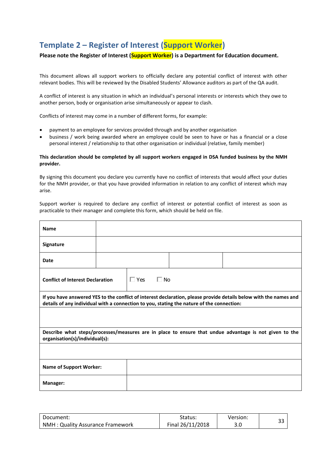# <span id="page-32-0"></span>**Template 2 – Register of Interest (Support Worker)**

#### **Please note the Register of Interest (Support Worker) is a Department for Education document.**

This document allows all support workers to officially declare any potential conflict of interest with other relevant bodies. This will be reviewed by the Disabled Students' Allowance auditors as part of the QA audit.

A conflict of interest is any situation in which an individual's personal interests or interests which they owe to another person, body or organisation arise simultaneously or appear to clash.

Conflicts of interest may come in a number of different forms, for example:

- payment to an employee for services provided through and by another organisation
- business / work being awarded where an employee could be seen to have or has a financial or a close personal interest / relationship to that other organisation or individual (relative, family member)

#### **This declaration should be completed by all support workers engaged in DSA funded business by the NMH provider.**

By signing this document you declare you currently have no conflict of interests that would affect your duties for the NMH provider, or that you have provided information in relation to any conflict of interest which may arise.

Support worker is required to declare any conflict of interest or potential conflict of interest as soon as practicable to their manager and complete this form, which should be held on file.

| <b>Name</b>                                                                                                                                                                                                    |  |            |           |  |  |  |
|----------------------------------------------------------------------------------------------------------------------------------------------------------------------------------------------------------------|--|------------|-----------|--|--|--|
| Signature                                                                                                                                                                                                      |  |            |           |  |  |  |
| Date                                                                                                                                                                                                           |  |            |           |  |  |  |
| <b>Conflict of Interest Declaration</b>                                                                                                                                                                        |  | $\Box$ Yes | $\Box$ No |  |  |  |
| If you have answered YES to the conflict of interest declaration, please provide details below with the names and<br>details of any individual with a connection to you, stating the nature of the connection: |  |            |           |  |  |  |
|                                                                                                                                                                                                                |  |            |           |  |  |  |
| Describe what steps/processes/measures are in place to ensure that undue advantage is not given to the<br>organisation(s)/individual(s):                                                                       |  |            |           |  |  |  |
|                                                                                                                                                                                                                |  |            |           |  |  |  |
| <b>Name of Support Worker:</b>                                                                                                                                                                                 |  |            |           |  |  |  |
| Manager:                                                                                                                                                                                                       |  |            |           |  |  |  |

| Document:                        | Status:          | Version: | າາ |
|----------------------------------|------------------|----------|----|
| NMH: Quality Assurance Framework | Final 26/11/2018 | 3.0      | ວວ |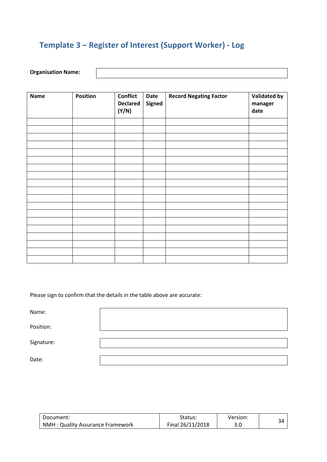# <span id="page-33-0"></span>**Template 3 – Register of Interest (Support Worker) - Log**

#### **Organisation Name:**

| <b>Name</b> | Position | <b>Conflict</b><br><b>Declared</b><br>(Y/N) | Date<br><b>Signed</b> | <b>Record Negating Factor</b> | <b>Validated by</b><br>manager<br>date |
|-------------|----------|---------------------------------------------|-----------------------|-------------------------------|----------------------------------------|
|             |          |                                             |                       |                               |                                        |
|             |          |                                             |                       |                               |                                        |
|             |          |                                             |                       |                               |                                        |
|             |          |                                             |                       |                               |                                        |
|             |          |                                             |                       |                               |                                        |
|             |          |                                             |                       |                               |                                        |
|             |          |                                             |                       |                               |                                        |
|             |          |                                             |                       |                               |                                        |
|             |          |                                             |                       |                               |                                        |
|             |          |                                             |                       |                               |                                        |
|             |          |                                             |                       |                               |                                        |
|             |          |                                             |                       |                               |                                        |
|             |          |                                             |                       |                               |                                        |
|             |          |                                             |                       |                               |                                        |
|             |          |                                             |                       |                               |                                        |
|             |          |                                             |                       |                               |                                        |
|             |          |                                             |                       |                               |                                        |
|             |          |                                             |                       |                               |                                        |
|             |          |                                             |                       |                               |                                        |

Please sign to confirm that the details in the table above are accurate:

Name:

Position:

Signature:

Date:

| Document:                         | Status:          | Version: |  |
|-----------------------------------|------------------|----------|--|
| NMH : Quality Assurance Framework | Final 26/11/2018 |          |  |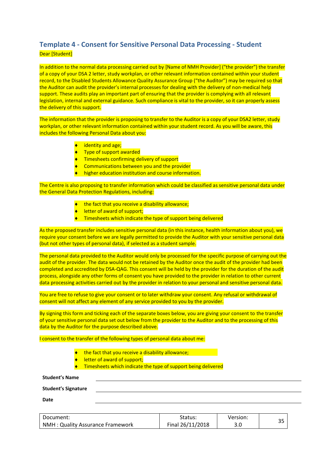### <span id="page-34-0"></span>**Template 4 - Consent for Sensitive Personal Data Processing - Student** Dear [Student]

In addition to the normal data processing carried out by [Name of NMH Provider] ("the provider") the transfer of a copy of your DSA 2 letter, study workplan, or other relevant information contained within your student record, to the Disabled Students Allowance Quality Assurance Group ("the Auditor") may be required so that the Auditor can audit the provider's internal processes for dealing with the delivery of non-medical help support. These audits play an important part of ensuring that the provider is complying with all relevant legislation, internal and external guidance. Such compliance is vital to the provider, so it can properly assess the delivery of this support.

The information that the provider is proposing to transfer to the Auditor is a copy of your DSA2 letter, study workplan, or other relevant information contained within your student record. As you will be aware, this includes the following Personal Data about you:

- $\bullet$  identity and age;
- ◆ Type of support awarded
- **Timesheets confirming delivery of support**
- ◆ Communications between you and the provider
- $\bullet$  higher education institution and course information.

The Centre is also proposing to transfer information which could be classified as sensitive personal data under the General Data Protection Regulations, including:

- $\bullet$  the fact that you receive a disability allowance;
- letter of award of support;
- **Timesheets which indicate the type of support being delivered**

As the proposed transfer includes sensitive personal data (in this instance, health information about you), we require your consent before we are legally permitted to provide the Auditor with your sensitive personal data (but not other types of personal data), if selected as a student sample.

The personal data provided to the Auditor would only be processed for the specific purpose of carrying out the audit of the provider. The data would not be retained by the Auditor once the audit of the provider had been completed and accredited by DSA-QAG. This consent will be held by the provider for the duration of the audit process, alongside any other forms of consent you have provided to the provider in relation to other current data processing activities carried out by the provider in relation to your personal and sensitive personal data.

You are free to refuse to give your consent or to later withdraw your consent. Any refusal or withdrawal of consent will not affect any element of any service provided to you by the provider.

By signing this form and ticking each of the separate boxes below, you are giving your consent to the transfer of your sensitive personal data set out below from the provider to the Auditor and to the processing of this data by the Auditor for the purpose described above.

I consent to the transfer of the following types of personal data about me:

- $\bullet$  the fact that you receive a disability allowance:
- letter of award of support;
- Timesheets which indicate the type of support being delivered

**Student's Name**

**Student's Signature**

**Date** 

| Document:                        | Status:          | Version: | ົ  |  |
|----------------------------------|------------------|----------|----|--|
| NMH: Quality Assurance Framework | Final 26/11/2018 | J.U      | -- |  |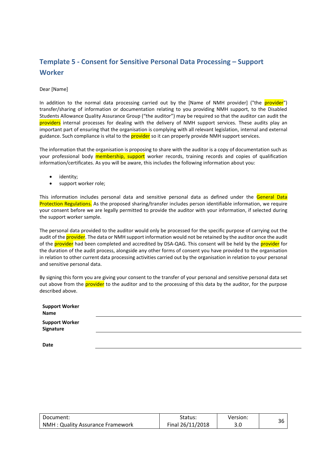# <span id="page-35-0"></span>**Template 5 - Consent for Sensitive Personal Data Processing – Support Worker**

#### Dear [Name]

In addition to the normal data processing carried out by the [Name of NMH provider] ("the provider") transfer/sharing of information or documentation relating to you providing NMH support, to the Disabled Students Allowance Quality Assurance Group ("the auditor") may be required so that the auditor can audit the providers internal processes for dealing with the delivery of NMH support services. These audits play an important part of ensuring that the organisation is complying with all relevant legislation, internal and external guidance. Such compliance is vital to the **provider** so it can properly provide NMH support services.

The information that the organisation is proposing to share with the auditor is a copy of documentation such as your professional body **membership, support** worker records, training records and copies of qualification information/certificates. As you will be aware, this includes the following information about you:

- identity;
- support worker role;

This information includes personal data and sensitive personal data as defined under the General Data Protection Regulations. As the proposed sharing/transfer includes person identifiable information, we require your consent before we are legally permitted to provide the auditor with your information, if selected during the support worker sample.

The personal data provided to the auditor would only be processed for the specific purpose of carrying out the audit of the **provider**. The data or NMH support information would not be retained by the auditor once the audit of the provider had been completed and accredited by DSA-QAG. This consent will be held by the provider for the duration of the audit process, alongside any other forms of consent you have provided to the organisation in relation to other current data processing activities carried out by the organisation in relation to your personal and sensitive personal data.

By signing this form you are giving your consent to the transfer of your personal and sensitive personal data set out above from the **provider** to the auditor and to the processing of this data by the auditor, for the purpose described above.

| <b>Support Worker</b><br>Name      |  |  |  |
|------------------------------------|--|--|--|
| <b>Support Worker</b><br>Signature |  |  |  |
| <b>Date</b>                        |  |  |  |

| Document:                               | Status:          | Version: |  |
|-----------------------------------------|------------------|----------|--|
| <b>NMH: Quality Assurance Framework</b> | Final 26/11/2018 | 3.0      |  |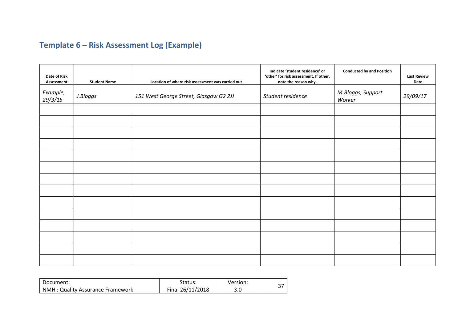# **Template 6 – Risk Assessment Log (Example)**

| Date of Risk<br>Assessment | <b>Student Name</b> | Location of where risk assessment was carried out | Indicate 'student residence' or<br>'other' for risk assessment. If other,<br>note the reason why. | <b>Conducted by and Position</b> | <b>Last Review</b><br>Date |
|----------------------------|---------------------|---------------------------------------------------|---------------------------------------------------------------------------------------------------|----------------------------------|----------------------------|
| Example,<br>29/3/15        | J.Bloggs            | 151 West George Street, Glasgow G2 2JJ            | Student residence                                                                                 | M.Bloggs, Support<br>Worker      | 29/09/17                   |
|                            |                     |                                                   |                                                                                                   |                                  |                            |
|                            |                     |                                                   |                                                                                                   |                                  |                            |
|                            |                     |                                                   |                                                                                                   |                                  |                            |
|                            |                     |                                                   |                                                                                                   |                                  |                            |
|                            |                     |                                                   |                                                                                                   |                                  |                            |
|                            |                     |                                                   |                                                                                                   |                                  |                            |
|                            |                     |                                                   |                                                                                                   |                                  |                            |
|                            |                     |                                                   |                                                                                                   |                                  |                            |
|                            |                     |                                                   |                                                                                                   |                                  |                            |
|                            |                     |                                                   |                                                                                                   |                                  |                            |
|                            |                     |                                                   |                                                                                                   |                                  |                            |
|                            |                     |                                                   |                                                                                                   |                                  |                            |
|                            |                     |                                                   |                                                                                                   |                                  |                            |
|                            |                     |                                                   |                                                                                                   |                                  |                            |

<span id="page-36-0"></span>

| Document:                        | Status:          | Version: |  |
|----------------------------------|------------------|----------|--|
| NMH: Quality Assurance Framework | Final 26/11/2018 | 3.0      |  |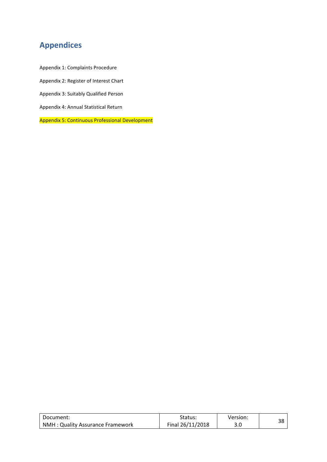# <span id="page-37-0"></span>**Appendices**

Appendix 1: Complaints Procedure Appendix 2: Register of Interest Chart Appendix 3: Suitably Qualified Person Appendix 4: Annual Statistical Return

Appendix 5: Continuous Professional Development

| Document:                        | Status:          | Version: | ົ |
|----------------------------------|------------------|----------|---|
| NMH: Quality Assurance Framework | Final 26/11/2018 | J.U      |   |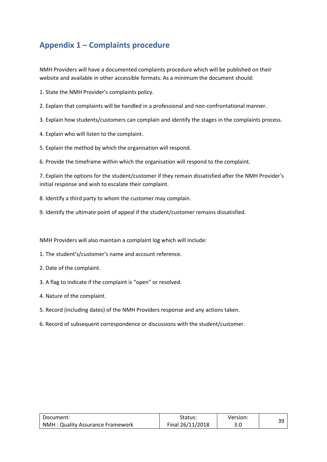# <span id="page-38-0"></span>**Appendix 1 – Complaints procedure**

NMH Providers will have a documented complaints procedure which will be published on their website and available in other accessible formats. As a minimum the document should:

1. State the NMH Provider's complaints policy.

- 2. Explain that complaints will be handled in a professional and non-confrontational manner.
- 3. Explain how students/customers can complain and identify the stages in the complaints process.
- 4. Explain who will listen to the complaint.
- 5. Explain the method by which the organisation will respond.
- 6. Provide the timeframe within which the organisation will respond to the complaint.

7. Explain the options for the student/customer if they remain dissatisfied after the NMH Provider's initial response and wish to escalate their complaint.

- 8. Identify a third party to whom the customer may complain.
- 9. Identify the ultimate point of appeal if the student/customer remains dissatisfied.

NMH Providers will also maintain a complaint log which will include:

- 1. The student's/customer's name and account reference.
- 2. Date of the complaint.
- 3. A flag to indicate if the complaint is "open" or resolved.
- 4. Nature of the complaint.
- 5. Record (including dates) of the NMH Providers response and any actions taken.
- 6. Record of subsequent correspondence or discussions with the student/customer.

| Document:                        | Status:          | Version: | າດ |
|----------------------------------|------------------|----------|----|
| NMH: Quality Assurance Framework | Final 26/11/2018 | 3.0      |    |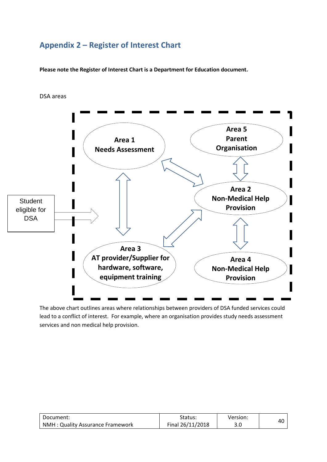# <span id="page-39-0"></span>**Appendix 2 – Register of Interest Chart**

**Please note the Register of Interest Chart is a Department for Education document.**

DSA areas



The above chart outlines areas where relationships between providers of DSA funded services could lead to a conflict of interest. For example, where an organisation provides study needs assessment services and non medical help provision.

| Document:                        | Status:          | Version: | 40 |
|----------------------------------|------------------|----------|----|
| NMH: Quality Assurance Framework | Final 26/11/2018 | J.U      |    |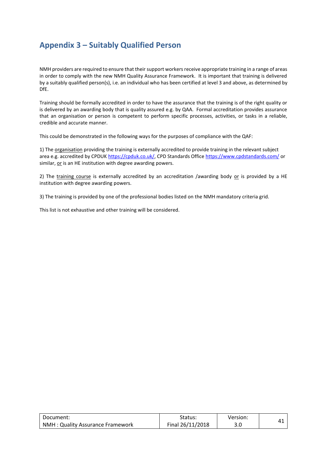# <span id="page-40-0"></span>**Appendix 3 – Suitably Qualified Person**

NMH providers are required to ensure that their support workers receive appropriate training in a range of areas in order to comply with the new NMH Quality Assurance Framework. It is important that training is delivered by a suitably qualified person(s), i.e. an individual who has been certified at level 3 and above, as determined by DfE.

Training should be formally accredited in order to have the assurance that the training is of the right quality or is delivered by an awarding body that is quality assured e.g. by QAA. Formal accreditation provides assurance that an organisation or person is competent to perform specific processes, activities, or tasks in a reliable, credible and accurate manner.

This could be demonstrated in the following ways for the purposes of compliance with the QAF:

1) The organisation providing the training is externally accredited to provide training in the relevant subject area e.g. accredited by CPDUK [https://cpduk.co.uk/,](https://cpduk.co.uk/) CPD Standards Offic[e https://www.cpdstandards.com/](https://www.cpdstandards.com/) or similar, or is an HE institution with degree awarding powers.

2) The training course is externally accredited by an accreditation /awarding body or is provided by a HE institution with degree awarding powers.

3) The training is provided by one of the professional bodies listed on the NMH mandatory criteria grid.

This list is not exhaustive and other training will be considered.

| Document:                        | Status:          | Version: | 41 |
|----------------------------------|------------------|----------|----|
| NMH: Quality Assurance Framework | Final 26/11/2018 | 3.0      |    |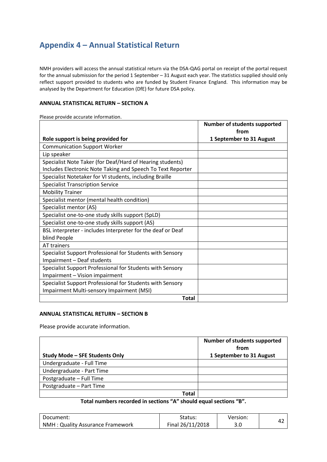# <span id="page-41-0"></span>**Appendix 4 – Annual Statistical Return**

NMH providers will access the annual statistical return via the DSA-QAG portal on receipt of the portal request for the annual submission for the period 1 September – 31 August each year. The statistics supplied should only reflect support provided to students who are funded by Student Finance England. This information may be analysed by the Department for Education (DfE) for future DSA policy.

#### **ANNUAL STATISTICAL RETURN – SECTION A**

Please provide accurate information.

|                                                                             | <b>Number of students supported</b><br>from |
|-----------------------------------------------------------------------------|---------------------------------------------|
| Role support is being provided for                                          | 1 September to 31 August                    |
| <b>Communication Support Worker</b>                                         |                                             |
| Lip speaker                                                                 |                                             |
| Specialist Note Taker (for Deaf/Hard of Hearing students)                   |                                             |
| Includes Electronic Note Taking and Speech To Text Reporter                 |                                             |
| Specialist Notetaker for VI students, including Braille                     |                                             |
| <b>Specialist Transcription Service</b>                                     |                                             |
| <b>Mobility Trainer</b>                                                     |                                             |
| Specialist mentor (mental health condition)                                 |                                             |
| Specialist mentor (AS)                                                      |                                             |
| Specialist one-to-one study skills support (SpLD)                           |                                             |
| Specialist one-to-one study skills support (AS)                             |                                             |
| BSL interpreter - includes Interpreter for the deaf or Deaf<br>blind People |                                             |
| AT trainers                                                                 |                                             |
| Specialist Support Professional for Students with Sensory                   |                                             |
| Impairment - Deaf students                                                  |                                             |
| Specialist Support Professional for Students with Sensory                   |                                             |
| Impairment - Vision impairment                                              |                                             |
| Specialist Support Professional for Students with Sensory                   |                                             |
| Impairment Multi-sensory Impairment (MSI)                                   |                                             |
| <b>Total</b>                                                                |                                             |

#### **ANNUAL STATISTICAL RETURN – SECTION B**

Please provide accurate information.

| Study Mode - SFE Students Only | <b>Number of students supported</b><br>from<br>1 September to 31 August |
|--------------------------------|-------------------------------------------------------------------------|
| Undergraduate - Full Time      |                                                                         |
| Undergraduate - Part Time      |                                                                         |
| Postgraduate - Full Time       |                                                                         |
| Postgraduate - Part Time       |                                                                         |
| Total                          |                                                                         |

**Total numbers recorded in sections "A" should equal sections "B".**

| Document:                        | Status:          | Version: |  |
|----------------------------------|------------------|----------|--|
| NMH: Quality Assurance Framework | Final 26/11/2018 | J.U      |  |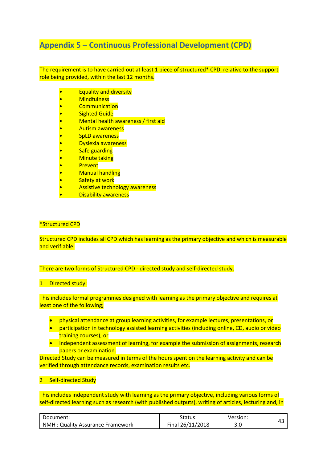# <span id="page-42-0"></span>**Appendix 5 – Continuous Professional Development (CPD)**

The requirement is to have carried out at least 1 piece of structured\* CPD, relative to the support role being provided, within the last 12 months.

- Equality and diversity
- **Mindfulness**
- **Communication**
- **Sighted Guide**
- Mental health awareness / first aid
- Autism awareness
- SpLD awareness
- Dyslexia awareness
- **Safe guarding**
- **Minute taking**
- Prevent
- Manual handling
- **Safety at work**
- Assistive technology awareness
- Disability awareness

#### \*Structured CPD

Structured CPD includes all CPD which has learning as the primary objective and which is measurable and verifiable.

There are two forms of Structured CPD - directed study and self-directed study.

#### 1 Directed study:

This includes formal programmes designed with learning as the primary objective and requires at least one of the following;

- physical attendance at group learning activities, for example lectures, presentations, or
- participation in technology assisted learning activities (including online, CD, audio or video training courses), or
- independent assessment of learning, for example the submission of assignments, research papers or examination.

Directed Study can be measured in terms of the hours spent on the learning activity and can be verified through attendance records, examination results etc.

#### 2 Self-directed Study

This includes independent study with learning as the primary objective, including various forms of self-directed learning such as research (with published outputs), writing of articles, lecturing and, in

| Document:                        | Status:          | Version: |  |
|----------------------------------|------------------|----------|--|
| NMH: Quality Assurance Framework | Final 26/11/2018 | 3.0      |  |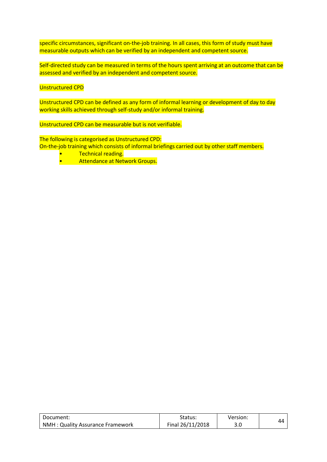specific circumstances, significant on-the-job training. In all cases, this form of study must have measurable outputs which can be verified by an independent and competent source.

Self-directed study can be measured in terms of the hours spent arriving at an outcome that can be assessed and verified by an independent and competent source.

#### Unstructured CPD

Unstructured CPD can be defined as any form of informal learning or development of day to day working skills achieved through self-study and/or informal training.

Unstructured CPD can be measurable but is not verifiable.

The following is categorised as Unstructured CPD: On-the-job training which consists of informal briefings carried out by other staff members.

- Technical reading.
- **Attendance at Network Groups.**

| Document:                        | Status:          | Version: | 44 |
|----------------------------------|------------------|----------|----|
| NMH: Quality Assurance Framework | Final 26/11/2018 | 3.0      |    |